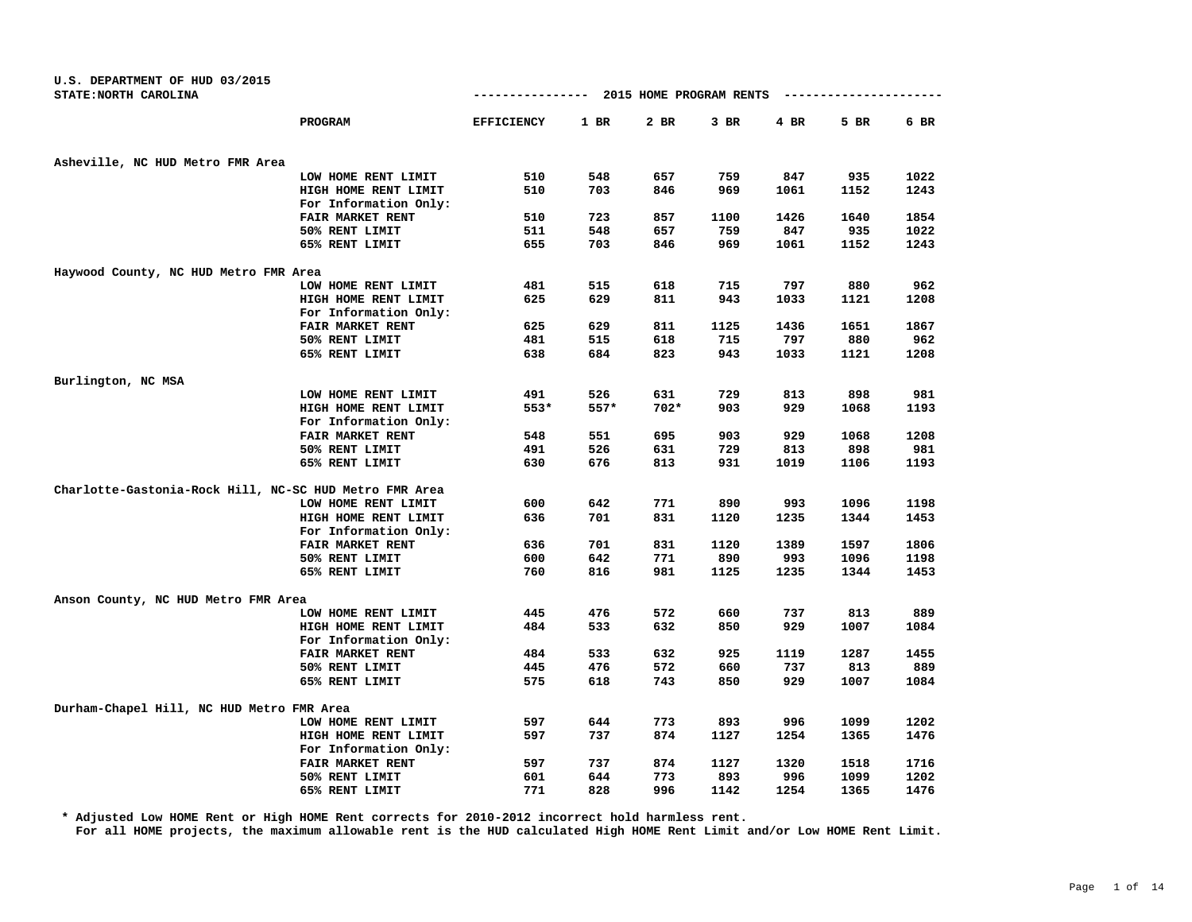| U.S. DEPARTMENT OF HUD 03/2015                         |                         |                   |        |                         |        |      |      |      |
|--------------------------------------------------------|-------------------------|-------------------|--------|-------------------------|--------|------|------|------|
| STATE: NORTH CAROLINA                                  |                         | --------------    |        | 2015 HOME PROGRAM RENTS |        |      |      |      |
|                                                        | PROGRAM                 | <b>EFFICIENCY</b> | $1$ BR | 2 BR                    | $3$ BR | 4 BR | 5 BR | 6 BR |
| Asheville, NC HUD Metro FMR Area                       |                         |                   |        |                         |        |      |      |      |
|                                                        | LOW HOME RENT LIMIT     | 510               | 548    | 657                     | 759    | 847  | 935  | 1022 |
|                                                        | HIGH HOME RENT LIMIT    | 510               | 703    | 846                     | 969    | 1061 | 1152 | 1243 |
|                                                        | For Information Only:   |                   |        |                         |        |      |      |      |
|                                                        | FAIR MARKET RENT        | 510               | 723    | 857                     | 1100   | 1426 | 1640 | 1854 |
|                                                        | 50% RENT LIMIT          | 511               | 548    | 657                     | 759    | 847  | 935  | 1022 |
|                                                        | 65% RENT LIMIT          | 655               | 703    | 846                     | 969    | 1061 | 1152 | 1243 |
| Haywood County, NC HUD Metro FMR Area                  |                         |                   |        |                         |        |      |      |      |
|                                                        | LOW HOME RENT LIMIT     | 481               | 515    | 618                     | 715    | 797  | 880  | 962  |
|                                                        | HIGH HOME RENT LIMIT    | 625               | 629    | 811                     | 943    | 1033 | 1121 | 1208 |
|                                                        | For Information Only:   |                   |        |                         |        |      |      |      |
|                                                        | FAIR MARKET RENT        | 625               | 629    | 811                     | 1125   | 1436 | 1651 | 1867 |
|                                                        | 50% RENT LIMIT          | 481               | 515    | 618                     | 715    | 797  | 880  | 962  |
|                                                        | 65% RENT LIMIT          | 638               | 684    | 823                     | 943    | 1033 | 1121 | 1208 |
| Burlington, NC MSA                                     |                         |                   |        |                         |        |      |      |      |
|                                                        | LOW HOME RENT LIMIT     | 491               | 526    | 631                     | 729    | 813  | 898  | 981  |
|                                                        | HIGH HOME RENT LIMIT    | 553*              | $557*$ | $702*$                  | 903    | 929  | 1068 | 1193 |
|                                                        | For Information Only:   |                   |        |                         |        |      |      |      |
|                                                        | <b>FAIR MARKET RENT</b> | 548               | 551    | 695                     | 903    | 929  | 1068 | 1208 |
|                                                        | 50% RENT LIMIT          | 491               | 526    | 631                     | 729    | 813  | 898  | 981  |
|                                                        | 65% RENT LIMIT          | 630               | 676    | 813                     | 931    | 1019 | 1106 | 1193 |
|                                                        |                         |                   |        |                         |        |      |      |      |
| Charlotte-Gastonia-Rock Hill, NC-SC HUD Metro FMR Area | LOW HOME RENT LIMIT     | 600               | 642    | 771                     | 890    | 993  | 1096 | 1198 |
|                                                        | HIGH HOME RENT LIMIT    | 636               | 701    | 831                     | 1120   |      | 1344 | 1453 |
|                                                        | For Information Only:   |                   |        |                         |        | 1235 |      |      |
|                                                        | FAIR MARKET RENT        | 636               | 701    | 831                     | 1120   | 1389 | 1597 | 1806 |
|                                                        | 50% RENT LIMIT          | 600               | 642    | 771                     | 890    | 993  | 1096 | 1198 |
|                                                        | 65% RENT LIMIT          | 760               | 816    | 981                     | 1125   | 1235 | 1344 | 1453 |
|                                                        |                         |                   |        |                         |        |      |      |      |
| Anson County, NC HUD Metro FMR Area                    |                         |                   |        |                         |        |      |      |      |
|                                                        | LOW HOME RENT LIMIT     | 445               | 476    | 572                     | 660    | 737  | 813  | 889  |
|                                                        | HIGH HOME RENT LIMIT    | 484               | 533    | 632                     | 850    | 929  | 1007 | 1084 |
|                                                        | For Information Only:   |                   |        |                         |        |      |      |      |
|                                                        | <b>FAIR MARKET RENT</b> | 484               | 533    | 632                     | 925    | 1119 | 1287 | 1455 |
|                                                        | 50% RENT LIMIT          | 445               | 476    | 572                     | 660    | 737  | 813  | 889  |
|                                                        | 65% RENT LIMIT          | 575               | 618    | 743                     | 850    | 929  | 1007 | 1084 |
| Durham-Chapel Hill, NC HUD Metro FMR Area              |                         |                   |        |                         |        |      |      |      |
|                                                        | LOW HOME RENT LIMIT     | 597               | 644    | 773                     | 893    | 996  | 1099 | 1202 |
|                                                        | HIGH HOME RENT LIMIT    | 597               | 737    | 874                     | 1127   | 1254 | 1365 | 1476 |
|                                                        | For Information Only:   |                   |        |                         |        |      |      |      |
|                                                        | FAIR MARKET RENT        | 597               | 737    | 874                     | 1127   | 1320 | 1518 | 1716 |
|                                                        | 50% RENT LIMIT          | 601               | 644    | 773                     | 893    | 996  | 1099 | 1202 |
|                                                        | 65% RENT LIMIT          | 771               | 828    | 996                     | 1142   | 1254 | 1365 | 1476 |

**\* Adjusted Low HOME Rent or High HOME Rent corrects for 2010-2012 incorrect hold harmless rent.**

**For all HOME projects, the maximum allowable rent is the HUD calculated High HOME Rent Limit and/or Low HOME Rent Limit.**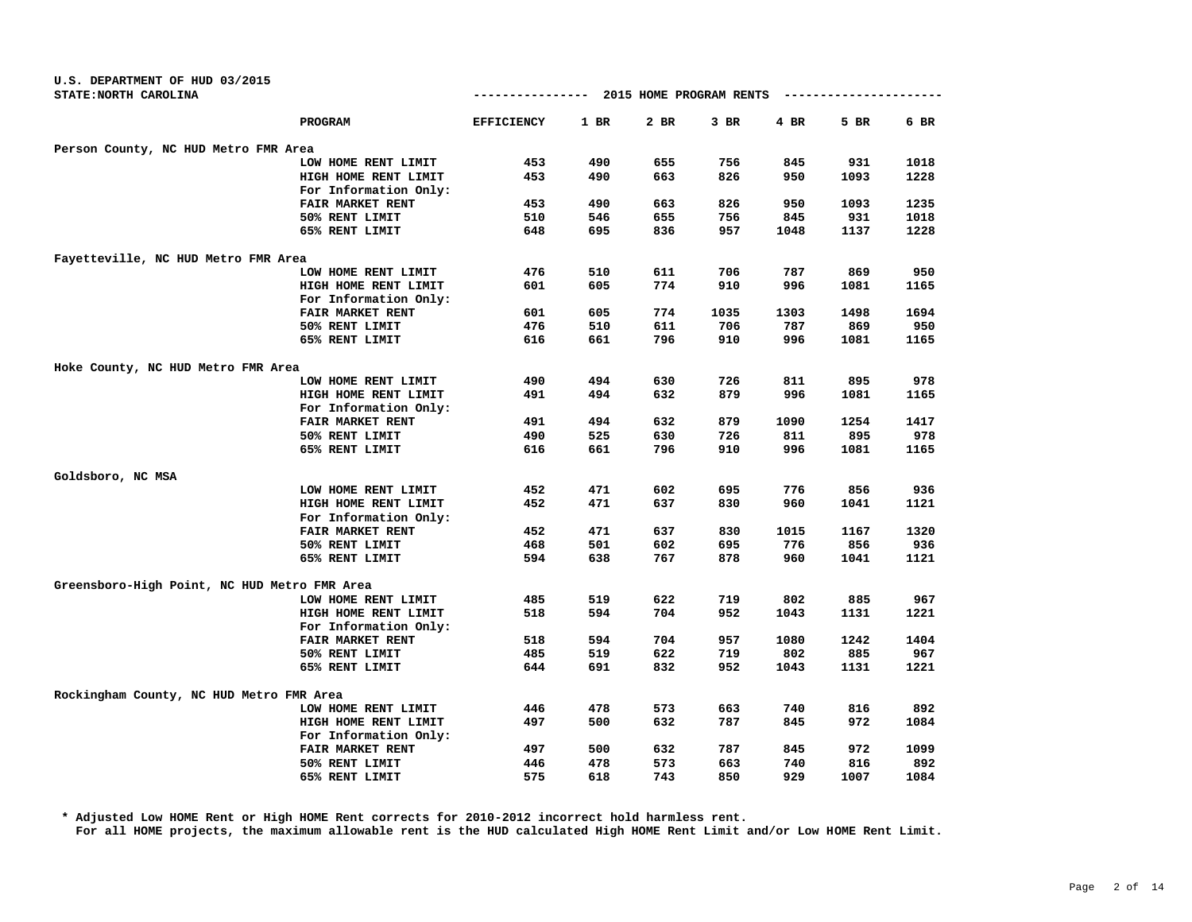| U.S. DEPARTMENT OF HUD 03/2015<br>STATE: NORTH CAROLINA |                       | ----------------  |      | 2015 HOME PROGRAM RENTS |      |      | ---------------- |      |
|---------------------------------------------------------|-----------------------|-------------------|------|-------------------------|------|------|------------------|------|
|                                                         | PROGRAM               | <b>EFFICIENCY</b> | 1 BR | 2 BR                    | 3 BR | 4 BR | 5 BR             | 6 BR |
|                                                         |                       |                   |      |                         |      |      |                  |      |
| Person County, NC HUD Metro FMR Area                    |                       | 453               | 490  | 655                     | 756  | 845  | 931              | 1018 |
|                                                         | LOW HOME RENT LIMIT   |                   |      |                         |      |      |                  |      |
|                                                         | HIGH HOME RENT LIMIT  | 453               | 490  | 663                     | 826  | 950  | 1093             | 1228 |
|                                                         | For Information Only: |                   | 490  |                         |      |      | 1093             | 1235 |
|                                                         | FAIR MARKET RENT      | 453               |      | 663                     | 826  | 950  |                  |      |
|                                                         | 50% RENT LIMIT        | 510               | 546  | 655                     | 756  | 845  | 931              | 1018 |
|                                                         | 65% RENT LIMIT        | 648               | 695  | 836                     | 957  | 1048 | 1137             | 1228 |
| Fayetteville, NC HUD Metro FMR Area                     |                       |                   |      |                         |      |      |                  |      |
|                                                         | LOW HOME RENT LIMIT   | 476               | 510  | 611                     | 706  | 787  | 869              | 950  |
|                                                         | HIGH HOME RENT LIMIT  | 601               | 605  | 774                     | 910  | 996  | 1081             | 1165 |
|                                                         | For Information Only: |                   |      |                         |      |      |                  |      |
|                                                         | FAIR MARKET RENT      | 601               | 605  | 774                     | 1035 | 1303 | 1498             | 1694 |
|                                                         | 50% RENT LIMIT        | 476               | 510  | 611                     | 706  | 787  | 869              | 950  |
|                                                         | 65% RENT LIMIT        | 616               | 661  | 796                     | 910  | 996  | 1081             | 1165 |
| Hoke County, NC HUD Metro FMR Area                      |                       |                   |      |                         |      |      |                  |      |
|                                                         | LOW HOME RENT LIMIT   | 490               | 494  | 630                     | 726  | 811  | 895              | 978  |
|                                                         | HIGH HOME RENT LIMIT  | 491               | 494  | 632                     | 879  | 996  | 1081             | 1165 |
|                                                         | For Information Only: |                   |      |                         |      |      |                  |      |
|                                                         | FAIR MARKET RENT      | 491               | 494  | 632                     | 879  | 1090 | 1254             | 1417 |
|                                                         | 50% RENT LIMIT        | 490               | 525  | 630                     | 726  | 811  | 895              | 978  |
|                                                         | 65% RENT LIMIT        | 616               | 661  | 796                     | 910  | 996  | 1081             | 1165 |
| Goldsboro, NC MSA                                       |                       |                   |      |                         |      |      |                  |      |
|                                                         | LOW HOME RENT LIMIT   | 452               | 471  | 602                     | 695  | 776  | 856              | 936  |
|                                                         | HIGH HOME RENT LIMIT  | 452               | 471  | 637                     | 830  | 960  | 1041             | 1121 |
|                                                         | For Information Only: |                   |      |                         |      |      |                  |      |
|                                                         | FAIR MARKET RENT      | 452               | 471  | 637                     | 830  | 1015 | 1167             | 1320 |
|                                                         | 50% RENT LIMIT        | 468               | 501  | 602                     | 695  | 776  | 856              | 936  |
|                                                         | 65% RENT LIMIT        | 594               | 638  | 767                     | 878  | 960  | 1041             | 1121 |
|                                                         |                       |                   |      |                         |      |      |                  |      |
| Greensboro-High Point, NC HUD Metro FMR Area            |                       |                   |      |                         |      |      |                  |      |
|                                                         | LOW HOME RENT LIMIT   | 485               | 519  | 622                     | 719  | 802  | 885              | 967  |
|                                                         | HIGH HOME RENT LIMIT  | 518               | 594  | 704                     | 952  | 1043 | 1131             | 1221 |
|                                                         | For Information Only: |                   |      |                         |      |      |                  |      |
|                                                         | FAIR MARKET RENT      | 518               | 594  | 704                     | 957  | 1080 | 1242             | 1404 |
|                                                         | 50% RENT LIMIT        | 485               | 519  | 622                     | 719  | 802  | 885              | 967  |
|                                                         | 65% RENT LIMIT        | 644               | 691  | 832                     | 952  | 1043 | 1131             | 1221 |
| Rockingham County, NC HUD Metro FMR Area                |                       |                   |      |                         |      |      |                  |      |
|                                                         | LOW HOME RENT LIMIT   | 446               | 478  | 573                     | 663  | 740  | 816              | 892  |
|                                                         | HIGH HOME RENT LIMIT  | 497               | 500  | 632                     | 787  | 845  | 972              | 1084 |
|                                                         | For Information Only: |                   |      |                         |      |      |                  |      |
|                                                         | FAIR MARKET RENT      | 497               | 500  | 632                     | 787  | 845  | 972              | 1099 |
|                                                         | 50% RENT LIMIT        | 446               | 478  | 573                     | 663  | 740  | 816              | 892  |
|                                                         | 65% RENT LIMIT        | 575               | 618  | 743                     | 850  | 929  | 1007             | 1084 |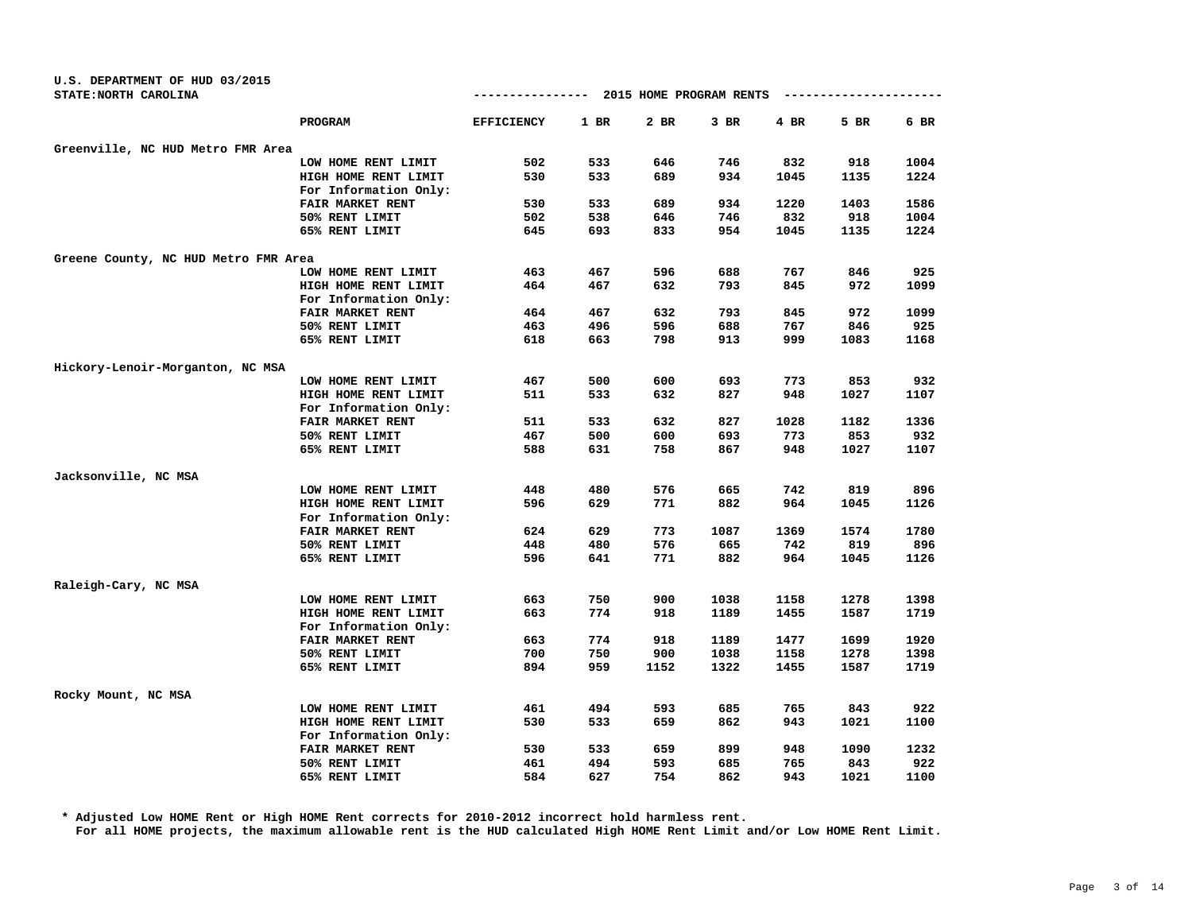| U.S. DEPARTMENT OF HUD 03/2015<br>STATE: NORTH CAROLINA |                       | --------------    |      | 2015 HOME PROGRAM RENTS |      |      |      |      |
|---------------------------------------------------------|-----------------------|-------------------|------|-------------------------|------|------|------|------|
|                                                         | PROGRAM               | <b>EFFICIENCY</b> | 1 BR | 2 BR                    | 3 BR | 4 BR | 5 BR | 6 BR |
| Greenville, NC HUD Metro FMR Area                       |                       |                   |      |                         |      |      |      |      |
|                                                         | LOW HOME RENT LIMIT   | 502               | 533  | 646                     | 746  | 832  | 918  | 1004 |
|                                                         | HIGH HOME RENT LIMIT  | 530               | 533  | 689                     | 934  | 1045 | 1135 | 1224 |
|                                                         | For Information Only: |                   |      |                         |      |      |      |      |
|                                                         | FAIR MARKET RENT      | 530               | 533  | 689                     | 934  | 1220 | 1403 | 1586 |
|                                                         | 50% RENT LIMIT        | 502               | 538  | 646                     | 746  | 832  | 918  | 1004 |
|                                                         | 65% RENT LIMIT        | 645               | 693  | 833                     | 954  | 1045 | 1135 | 1224 |
| Greene County, NC HUD Metro FMR Area                    |                       |                   |      |                         |      |      |      |      |
|                                                         | LOW HOME RENT LIMIT   | 463               | 467  | 596                     | 688  | 767  | 846  | 925  |
|                                                         | HIGH HOME RENT LIMIT  | 464               | 467  | 632                     | 793  | 845  | 972  | 1099 |
|                                                         | For Information Only: |                   |      |                         |      |      |      |      |
|                                                         | FAIR MARKET RENT      | 464               | 467  | 632                     | 793  | 845  | 972  | 1099 |
|                                                         | 50% RENT LIMIT        | 463               | 496  | 596                     | 688  | 767  | 846  | 925  |
|                                                         | 65% RENT LIMIT        | 618               | 663  | 798                     | 913  | 999  | 1083 | 1168 |
| Hickory-Lenoir-Morganton, NC MSA                        |                       |                   |      |                         |      |      |      |      |
|                                                         | LOW HOME RENT LIMIT   | 467               | 500  | 600                     | 693  | 773  | 853  | 932  |
|                                                         | HIGH HOME RENT LIMIT  | 511               | 533  | 632                     | 827  | 948  | 1027 | 1107 |
|                                                         | For Information Only: |                   |      |                         |      |      |      |      |
|                                                         | FAIR MARKET RENT      | 511               | 533  | 632                     | 827  | 1028 | 1182 | 1336 |
|                                                         | 50% RENT LIMIT        | 467               | 500  | 600                     | 693  | 773  | 853  | 932  |
|                                                         | 65% RENT LIMIT        | 588               | 631  | 758                     | 867  | 948  | 1027 | 1107 |
| Jacksonville, NC MSA                                    |                       |                   |      |                         |      |      |      |      |
|                                                         | LOW HOME RENT LIMIT   | 448               | 480  | 576                     | 665  | 742  | 819  | 896  |
|                                                         | HIGH HOME RENT LIMIT  | 596               | 629  | 771                     | 882  | 964  | 1045 | 1126 |
|                                                         | For Information Only: |                   |      |                         |      |      |      |      |
|                                                         | FAIR MARKET RENT      | 624               | 629  | 773                     | 1087 | 1369 | 1574 | 1780 |
|                                                         | 50% RENT LIMIT        | 448               | 480  | 576                     | 665  | 742  | 819  | 896  |
|                                                         | 65% RENT LIMIT        | 596               | 641  | 771                     | 882  | 964  | 1045 | 1126 |
| Raleigh-Cary, NC MSA                                    |                       |                   |      |                         |      |      |      |      |
|                                                         | LOW HOME RENT LIMIT   | 663               | 750  | 900                     | 1038 | 1158 | 1278 | 1398 |
|                                                         | HIGH HOME RENT LIMIT  | 663               | 774  | 918                     | 1189 | 1455 | 1587 | 1719 |
|                                                         | For Information Only: |                   |      |                         |      |      |      |      |
|                                                         | FAIR MARKET RENT      | 663               | 774  | 918                     | 1189 | 1477 | 1699 | 1920 |
|                                                         | 50% RENT LIMIT        | 700               | 750  | 900                     | 1038 | 1158 | 1278 | 1398 |
|                                                         | 65% RENT LIMIT        | 894               | 959  | 1152                    | 1322 | 1455 | 1587 | 1719 |
| Rocky Mount, NC MSA                                     |                       |                   |      |                         |      |      |      |      |
|                                                         | LOW HOME RENT LIMIT   | 461               | 494  | 593                     | 685  | 765  | 843  | 922  |
|                                                         | HIGH HOME RENT LIMIT  | 530               | 533  | 659                     | 862  | 943  | 1021 | 1100 |
|                                                         | For Information Only: |                   |      |                         |      |      |      |      |
|                                                         | FAIR MARKET RENT      | 530               | 533  | 659                     | 899  | 948  | 1090 | 1232 |
|                                                         | 50% RENT LIMIT        | 461               | 494  | 593                     | 685  | 765  | 843  | 922  |
|                                                         | 65% RENT LIMIT        | 584               | 627  | 754                     | 862  | 943  | 1021 | 1100 |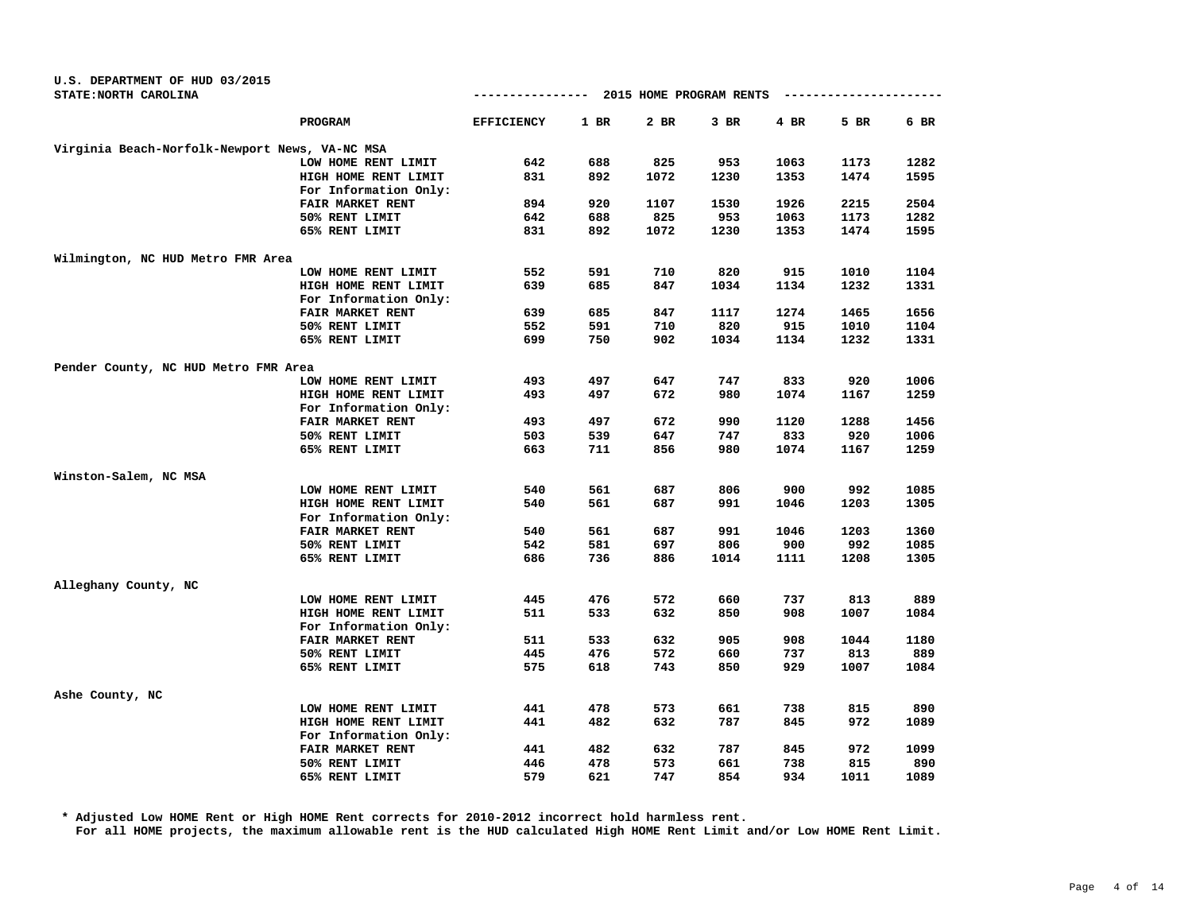| STATE: NORTH CAROLINA                          |                       | ---------------- 2015 HOME PROGRAM RENTS |        |      |        |      | --------------- |      |
|------------------------------------------------|-----------------------|------------------------------------------|--------|------|--------|------|-----------------|------|
|                                                | PROGRAM               | <b>EFFICIENCY</b>                        | $1$ BR | 2 BR | $3$ BR | 4 BR | 5 BR            | 6 BR |
| Virginia Beach-Norfolk-Newport News, VA-NC MSA |                       |                                          |        |      |        |      |                 |      |
|                                                | LOW HOME RENT LIMIT   | 642                                      | 688    | 825  | 953    | 1063 | 1173            | 1282 |
|                                                | HIGH HOME RENT LIMIT  | 831                                      | 892    | 1072 | 1230   | 1353 | 1474            | 1595 |
|                                                | For Information Only: |                                          |        |      |        |      |                 |      |
|                                                | FAIR MARKET RENT      | 894                                      | 920    | 1107 | 1530   | 1926 | 2215            | 2504 |
|                                                | 50% RENT LIMIT        | 642                                      | 688    | 825  | 953    | 1063 | 1173            | 1282 |
|                                                | 65% RENT LIMIT        | 831                                      | 892    | 1072 | 1230   | 1353 | 1474            | 1595 |
| Wilmington, NC HUD Metro FMR Area              |                       |                                          |        |      |        |      |                 |      |
|                                                | LOW HOME RENT LIMIT   | 552                                      | 591    | 710  | 820    | 915  | 1010            | 1104 |
|                                                | HIGH HOME RENT LIMIT  | 639                                      | 685    | 847  | 1034   | 1134 | 1232            | 1331 |
|                                                | For Information Only: |                                          |        |      |        |      |                 |      |
|                                                | FAIR MARKET RENT      | 639                                      | 685    | 847  | 1117   | 1274 | 1465            | 1656 |
|                                                | 50% RENT LIMIT        | 552                                      | 591    | 710  | 820    | 915  | 1010            | 1104 |
|                                                | 65% RENT LIMIT        | 699                                      | 750    | 902  | 1034   | 1134 | 1232            | 1331 |
| Pender County, NC HUD Metro FMR Area           |                       |                                          |        |      |        |      |                 |      |
|                                                | LOW HOME RENT LIMIT   | 493                                      | 497    | 647  | 747    | 833  | 920             | 1006 |
|                                                | HIGH HOME RENT LIMIT  | 493                                      | 497    | 672  | 980    | 1074 | 1167            | 1259 |
|                                                | For Information Only: |                                          |        |      |        |      |                 |      |
|                                                | FAIR MARKET RENT      | 493                                      | 497    | 672  | 990    | 1120 | 1288            | 1456 |
|                                                | 50% RENT LIMIT        | 503                                      | 539    | 647  | 747    | 833  | 920             | 1006 |
|                                                | 65% RENT LIMIT        | 663                                      | 711    | 856  | 980    | 1074 | 1167            | 1259 |
| Winston-Salem, NC MSA                          |                       |                                          |        |      |        |      |                 |      |
|                                                | LOW HOME RENT LIMIT   | 540                                      | 561    | 687  | 806    | 900  | 992             | 1085 |
|                                                | HIGH HOME RENT LIMIT  | 540                                      | 561    | 687  | 991    | 1046 | 1203            | 1305 |
|                                                | For Information Only: |                                          |        |      |        |      |                 |      |
|                                                | FAIR MARKET RENT      | 540                                      | 561    | 687  | 991    | 1046 | 1203            | 1360 |
|                                                | 50% RENT LIMIT        | 542                                      | 581    | 697  | 806    | 900  | 992             | 1085 |
|                                                | 65% RENT LIMIT        | 686                                      | 736    | 886  | 1014   | 1111 | 1208            | 1305 |
| Alleghany County, NC                           |                       |                                          |        |      |        |      |                 |      |
|                                                | LOW HOME RENT LIMIT   | 445                                      | 476    | 572  | 660    | 737  | 813             | 889  |
|                                                | HIGH HOME RENT LIMIT  | 511                                      | 533    | 632  | 850    | 908  | 1007            | 1084 |
|                                                | For Information Only: |                                          |        |      |        |      |                 |      |
|                                                | FAIR MARKET RENT      | 511                                      | 533    | 632  | 905    | 908  | 1044            | 1180 |
|                                                | 50% RENT LIMIT        | 445                                      | 476    | 572  | 660    | 737  | 813             | 889  |
|                                                | 65% RENT LIMIT        | 575                                      | 618    | 743  | 850    | 929  | 1007            | 1084 |
| Ashe County, NC                                |                       |                                          |        |      |        |      |                 |      |
|                                                | LOW HOME RENT LIMIT   | 441                                      | 478    | 573  | 661    | 738  | 815             | 890  |
|                                                | HIGH HOME RENT LIMIT  | 441                                      | 482    | 632  | 787    | 845  | 972             | 1089 |
|                                                | For Information Only: |                                          |        |      |        |      |                 |      |
|                                                | FAIR MARKET RENT      | 441                                      | 482    | 632  | 787    | 845  | 972             | 1099 |
|                                                | 50% RENT LIMIT        | 446                                      | 478    | 573  | 661    | 738  | 815             | 890  |
|                                                | 65% RENT LIMIT        | 579                                      | 621    | 747  | 854    | 934  | 1011            | 1089 |

**U.S. DEPARTMENT OF HUD 03/2015**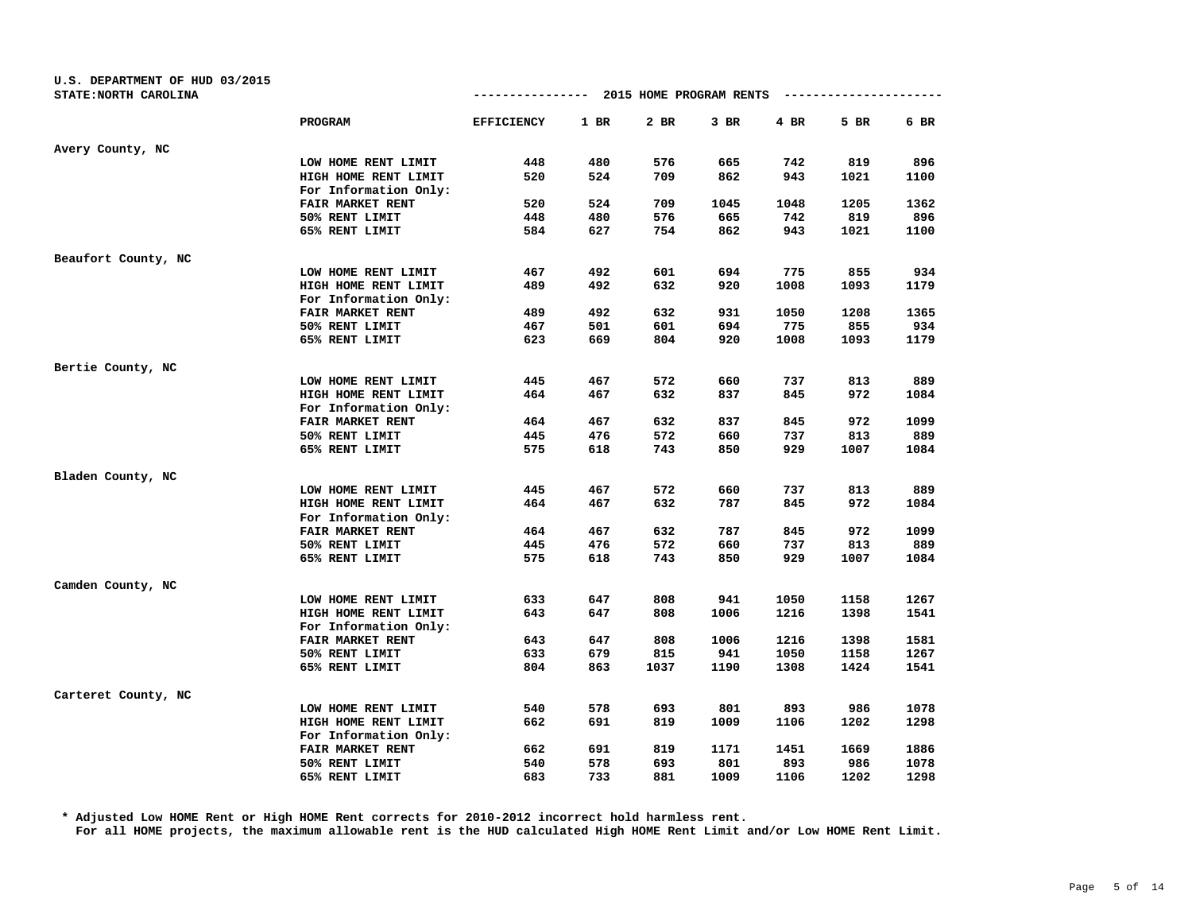| U.S. DEPARTMENT OF HUD 03/2015 |                       |                   |        |                                       |        |      |      |      |
|--------------------------------|-----------------------|-------------------|--------|---------------------------------------|--------|------|------|------|
| STATE: NORTH CAROLINA          |                       |                   |        | ------------- 2015 HOME PROGRAM RENTS |        |      |      |      |
|                                | PROGRAM               | <b>EFFICIENCY</b> | $1$ BR | $2$ BR                                | $3$ BR | 4 BR | 5 BR | 6 BR |
| Avery County, NC               |                       |                   |        |                                       |        |      |      |      |
|                                | LOW HOME RENT LIMIT   | 448               | 480    | 576                                   | 665    | 742  | 819  | 896  |
|                                | HIGH HOME RENT LIMIT  | 520               | 524    | 709                                   | 862    | 943  | 1021 | 1100 |
|                                | For Information Only: |                   |        |                                       |        |      |      |      |
|                                | FAIR MARKET RENT      | 520               | 524    | 709                                   | 1045   | 1048 | 1205 | 1362 |
|                                | 50% RENT LIMIT        | 448               | 480    | 576                                   | 665    | 742  | 819  | 896  |
|                                | 65% RENT LIMIT        | 584               | 627    | 754                                   | 862    | 943  | 1021 | 1100 |
| Beaufort County, NC            |                       |                   |        |                                       |        |      |      |      |
|                                | LOW HOME RENT LIMIT   | 467               | 492    | 601                                   | 694    | 775  | 855  | 934  |
|                                | HIGH HOME RENT LIMIT  | 489               | 492    | 632                                   | 920    | 1008 | 1093 | 1179 |
|                                | For Information Only: |                   |        |                                       |        |      |      |      |
|                                | FAIR MARKET RENT      | 489               | 492    | 632                                   | 931    | 1050 | 1208 | 1365 |
|                                | 50% RENT LIMIT        | 467               | 501    | 601                                   | 694    | 775  | 855  | 934  |
|                                | 65% RENT LIMIT        | 623               | 669    | 804                                   | 920    | 1008 | 1093 | 1179 |
| Bertie County, NC              |                       |                   |        |                                       |        |      |      |      |
|                                | LOW HOME RENT LIMIT   | 445               | 467    | 572                                   | 660    | 737  | 813  | 889  |
|                                | HIGH HOME RENT LIMIT  | 464               | 467    | 632                                   | 837    | 845  | 972  | 1084 |
|                                | For Information Only: |                   |        |                                       |        |      |      |      |
|                                | FAIR MARKET RENT      | 464               | 467    | 632                                   | 837    | 845  | 972  | 1099 |
|                                | 50% RENT LIMIT        | 445               | 476    | 572                                   | 660    | 737  | 813  | 889  |
|                                | 65% RENT LIMIT        | 575               | 618    | 743                                   | 850    | 929  | 1007 | 1084 |
| Bladen County, NC              |                       |                   |        |                                       |        |      |      |      |
|                                | LOW HOME RENT LIMIT   | 445               | 467    | 572                                   | 660    | 737  | 813  | 889  |
|                                | HIGH HOME RENT LIMIT  | 464               | 467    | 632                                   | 787    | 845  | 972  | 1084 |
|                                | For Information Only: |                   |        |                                       |        |      |      |      |
|                                | FAIR MARKET RENT      | 464               | 467    | 632                                   | 787    | 845  | 972  | 1099 |
|                                | 50% RENT LIMIT        | 445               | 476    | 572                                   | 660    | 737  | 813  | 889  |
|                                | 65% RENT LIMIT        | 575               | 618    | 743                                   | 850    | 929  | 1007 | 1084 |
| Camden County, NC              |                       |                   |        |                                       |        |      |      |      |
|                                | LOW HOME RENT LIMIT   | 633               | 647    | 808                                   | 941    | 1050 | 1158 | 1267 |
|                                | HIGH HOME RENT LIMIT  | 643               | 647    | 808                                   | 1006   | 1216 | 1398 | 1541 |
|                                | For Information Only: |                   |        |                                       |        |      |      |      |
|                                | FAIR MARKET RENT      | 643               | 647    | 808                                   | 1006   | 1216 | 1398 | 1581 |
|                                | 50% RENT LIMIT        | 633               | 679    | 815                                   | 941    | 1050 | 1158 | 1267 |
|                                | 65% RENT LIMIT        | 804               | 863    | 1037                                  | 1190   | 1308 | 1424 | 1541 |
| Carteret County, NC            |                       |                   |        |                                       |        |      |      |      |
|                                | LOW HOME RENT LIMIT   | 540               | 578    | 693                                   | 801    | 893  | 986  | 1078 |
|                                | HIGH HOME RENT LIMIT  | 662               | 691    | 819                                   | 1009   | 1106 | 1202 | 1298 |
|                                | For Information Only: |                   |        |                                       |        |      |      |      |
|                                | FAIR MARKET RENT      | 662               | 691    | 819                                   | 1171   | 1451 | 1669 | 1886 |
|                                | 50% RENT LIMIT        | 540               | 578    | 693                                   | 801    | 893  | 986  | 1078 |
|                                | 65% RENT LIMIT        | 683               | 733    | 881                                   | 1009   | 1106 | 1202 | 1298 |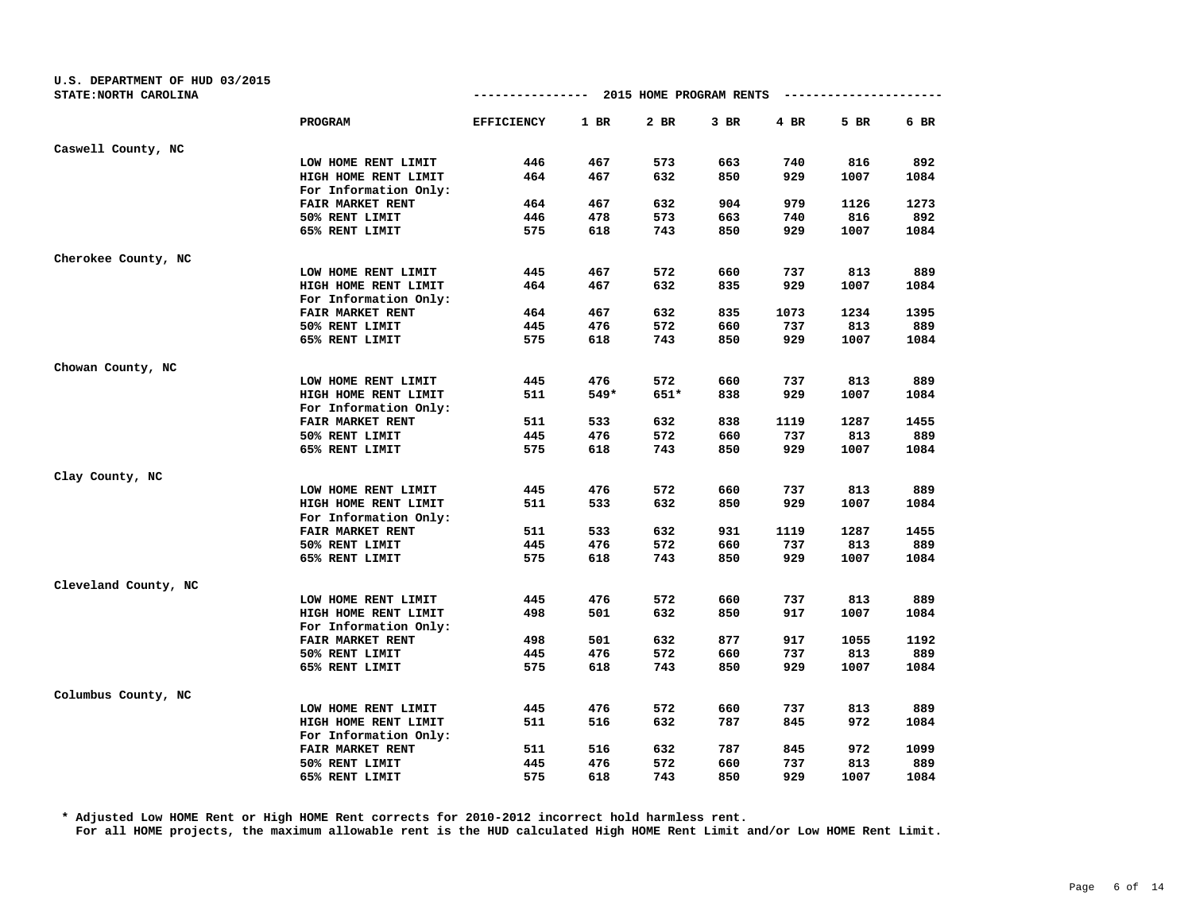| U.S. DEPARTMENT OF HUD 03/2015<br>STATE: NORTH CAROLINA |                       |                   |        | ------------- 2015 HOME PROGRAM RENTS |      |      |      |      |
|---------------------------------------------------------|-----------------------|-------------------|--------|---------------------------------------|------|------|------|------|
|                                                         | <b>PROGRAM</b>        | <b>EFFICIENCY</b> | $1$ BR | 2 BR                                  | 3 BR | 4 BR | 5 BR | 6 BR |
| Caswell County, NC                                      |                       |                   |        |                                       |      |      |      |      |
|                                                         | LOW HOME RENT LIMIT   | 446               | 467    | 573                                   | 663  | 740  | 816  | 892  |
|                                                         | HIGH HOME RENT LIMIT  | 464               | 467    | 632                                   | 850  | 929  | 1007 | 1084 |
|                                                         | For Information Only: |                   |        |                                       |      |      |      |      |
|                                                         | FAIR MARKET RENT      | 464               | 467    | 632                                   | 904  | 979  | 1126 | 1273 |
|                                                         | 50% RENT LIMIT        | 446               | 478    | 573                                   | 663  | 740  | 816  | 892  |
|                                                         | 65% RENT LIMIT        | 575               | 618    | 743                                   | 850  | 929  | 1007 | 1084 |
| Cherokee County, NC                                     |                       |                   |        |                                       |      |      |      |      |
|                                                         | LOW HOME RENT LIMIT   | 445               | 467    | 572                                   | 660  | 737  | 813  | 889  |
|                                                         | HIGH HOME RENT LIMIT  | 464               | 467    | 632                                   | 835  | 929  | 1007 | 1084 |
|                                                         | For Information Only: |                   |        |                                       |      |      |      |      |
|                                                         | FAIR MARKET RENT      | 464               | 467    | 632                                   | 835  | 1073 | 1234 | 1395 |
|                                                         | 50% RENT LIMIT        | 445               | 476    | 572                                   | 660  | 737  | 813  | 889  |
|                                                         | 65% RENT LIMIT        | 575               | 618    | 743                                   | 850  | 929  | 1007 | 1084 |
| Chowan County, NC                                       |                       |                   |        |                                       |      |      |      |      |
|                                                         | LOW HOME RENT LIMIT   | 445               | 476    | 572                                   | 660  | 737  | 813  | 889  |
|                                                         | HIGH HOME RENT LIMIT  | 511               | 549*   | $651*$                                | 838  | 929  | 1007 | 1084 |
|                                                         | For Information Only: |                   |        |                                       |      |      |      |      |
|                                                         | FAIR MARKET RENT      | 511               | 533    | 632                                   | 838  | 1119 | 1287 | 1455 |
|                                                         | 50% RENT LIMIT        | 445               | 476    | 572                                   | 660  | 737  | 813  | 889  |
|                                                         | 65% RENT LIMIT        | 575               | 618    | 743                                   | 850  | 929  | 1007 | 1084 |
| Clay County, NC                                         |                       |                   |        |                                       |      |      |      |      |
|                                                         | LOW HOME RENT LIMIT   | 445               | 476    | 572                                   | 660  | 737  | 813  | 889  |
|                                                         | HIGH HOME RENT LIMIT  | 511               | 533    | 632                                   | 850  | 929  | 1007 | 1084 |
|                                                         | For Information Only: |                   |        |                                       |      |      |      |      |
|                                                         | FAIR MARKET RENT      | 511               | 533    | 632                                   | 931  | 1119 | 1287 | 1455 |
|                                                         | 50% RENT LIMIT        | 445               | 476    | 572                                   | 660  | 737  | 813  | 889  |
|                                                         | 65% RENT LIMIT        | 575               | 618    | 743                                   | 850  | 929  | 1007 | 1084 |
| Cleveland County, NC                                    |                       |                   |        |                                       |      |      |      |      |
|                                                         | LOW HOME RENT LIMIT   | 445               | 476    | 572                                   | 660  | 737  | 813  | 889  |
|                                                         | HIGH HOME RENT LIMIT  | 498               | 501    | 632                                   | 850  | 917  | 1007 | 1084 |
|                                                         | For Information Only: |                   |        |                                       |      |      |      |      |
|                                                         | FAIR MARKET RENT      | 498               | 501    | 632                                   | 877  | 917  | 1055 | 1192 |
|                                                         | 50% RENT LIMIT        | 445               | 476    | 572                                   | 660  | 737  | 813  | 889  |
|                                                         | 65% RENT LIMIT        | 575               | 618    | 743                                   | 850  | 929  | 1007 | 1084 |
| Columbus County, NC                                     |                       |                   |        |                                       |      |      |      |      |
|                                                         | LOW HOME RENT LIMIT   | 445               | 476    | 572                                   | 660  | 737  | 813  | 889  |
|                                                         | HIGH HOME RENT LIMIT  | 511               | 516    | 632                                   | 787  | 845  | 972  | 1084 |
|                                                         | For Information Only: |                   |        |                                       |      |      |      |      |
|                                                         | FAIR MARKET RENT      | 511               | 516    | 632                                   | 787  | 845  | 972  | 1099 |
|                                                         | 50% RENT LIMIT        | 445               | 476    | 572                                   | 660  | 737  | 813  | 889  |
|                                                         | 65% RENT LIMIT        | 575               | 618    | 743                                   | 850  | 929  | 1007 | 1084 |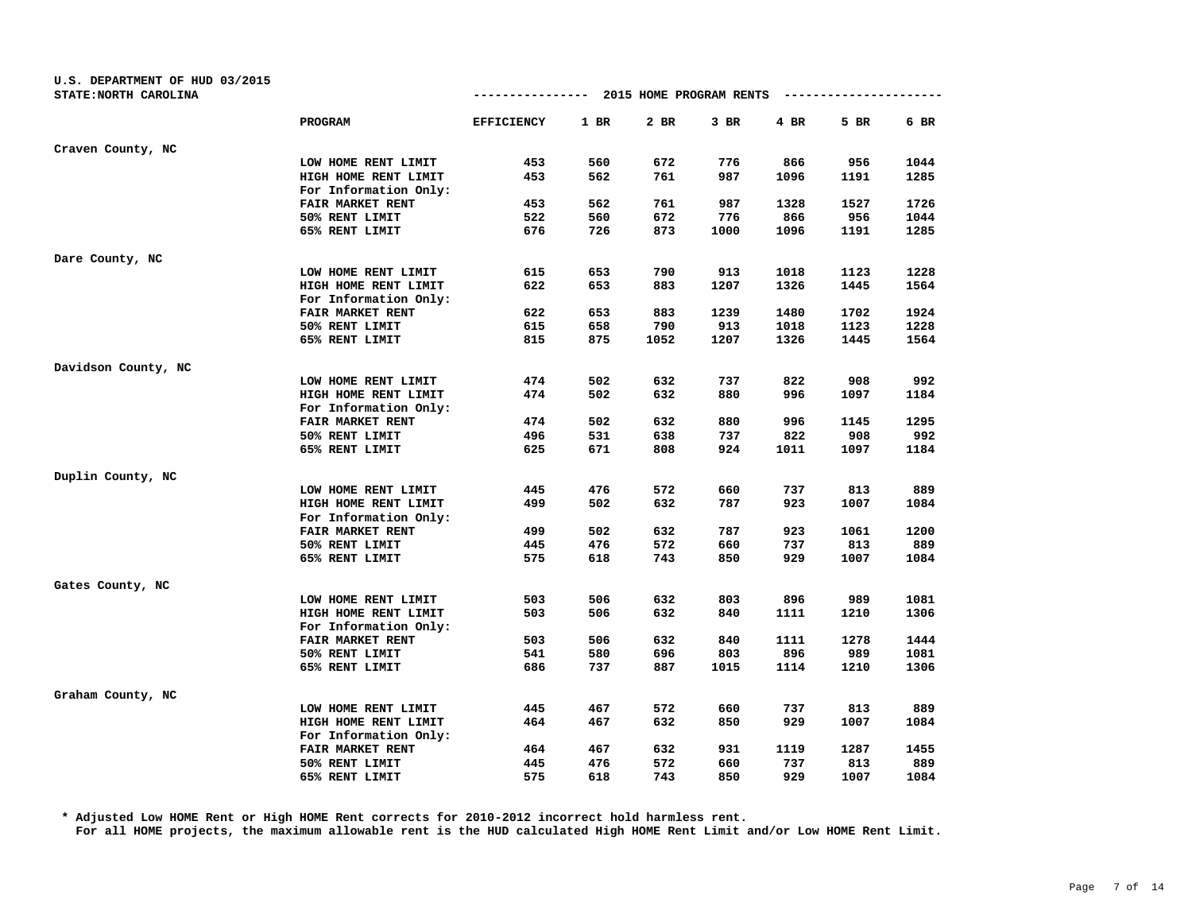| U.S. DEPARTMENT OF HUD 03/2015 |                       |                   |        |                                       |        |      |      |      |
|--------------------------------|-----------------------|-------------------|--------|---------------------------------------|--------|------|------|------|
| STATE: NORTH CAROLINA          |                       |                   |        | ------------- 2015 HOME PROGRAM RENTS |        |      |      |      |
|                                | PROGRAM               | <b>EFFICIENCY</b> | $1$ BR | 2 BR                                  | $3$ BR | 4 BR | 5 BR | 6 BR |
| Craven County, NC              |                       |                   |        |                                       |        |      |      |      |
|                                | LOW HOME RENT LIMIT   | 453               | 560    | 672                                   | 776    | 866  | 956  | 1044 |
|                                | HIGH HOME RENT LIMIT  | 453               | 562    | 761                                   | 987    | 1096 | 1191 | 1285 |
|                                | For Information Only: |                   |        |                                       |        |      |      |      |
|                                | FAIR MARKET RENT      | 453               | 562    | 761                                   | 987    | 1328 | 1527 | 1726 |
|                                | 50% RENT LIMIT        | 522               | 560    | 672                                   | 776    | 866  | 956  | 1044 |
|                                | 65% RENT LIMIT        | 676               | 726    | 873                                   | 1000   | 1096 | 1191 | 1285 |
| Dare County, NC                |                       |                   |        |                                       |        |      |      |      |
|                                | LOW HOME RENT LIMIT   | 615               | 653    | 790                                   | 913    | 1018 | 1123 | 1228 |
|                                | HIGH HOME RENT LIMIT  | 622               | 653    | 883                                   | 1207   | 1326 | 1445 | 1564 |
|                                | For Information Only: |                   |        |                                       |        |      |      |      |
|                                | FAIR MARKET RENT      | 622               | 653    | 883                                   | 1239   | 1480 | 1702 | 1924 |
|                                | 50% RENT LIMIT        | 615               | 658    | 790                                   | 913    | 1018 | 1123 | 1228 |
|                                | 65% RENT LIMIT        | 815               | 875    | 1052                                  | 1207   | 1326 | 1445 | 1564 |
| Davidson County, NC            |                       |                   |        |                                       |        |      |      |      |
|                                | LOW HOME RENT LIMIT   | 474               | 502    | 632                                   | 737    | 822  | 908  | 992  |
|                                | HIGH HOME RENT LIMIT  | 474               | 502    | 632                                   | 880    | 996  | 1097 | 1184 |
|                                | For Information Only: |                   |        |                                       |        |      |      |      |
|                                | FAIR MARKET RENT      | 474               | 502    | 632                                   | 880    | 996  | 1145 | 1295 |
|                                | 50% RENT LIMIT        | 496               | 531    | 638                                   | 737    | 822  | 908  | 992  |
|                                | 65% RENT LIMIT        | 625               | 671    | 808                                   | 924    | 1011 | 1097 | 1184 |
| Duplin County, NC              |                       |                   |        |                                       |        |      |      |      |
|                                | LOW HOME RENT LIMIT   | 445               | 476    | 572                                   | 660    | 737  | 813  | 889  |
|                                | HIGH HOME RENT LIMIT  | 499               | 502    | 632                                   | 787    | 923  | 1007 | 1084 |
|                                | For Information Only: |                   |        |                                       |        |      |      |      |
|                                | FAIR MARKET RENT      | 499               | 502    | 632                                   | 787    | 923  | 1061 | 1200 |
|                                | 50% RENT LIMIT        | 445               | 476    | 572                                   | 660    | 737  | 813  | 889  |
|                                | 65% RENT LIMIT        | 575               | 618    | 743                                   | 850    | 929  | 1007 | 1084 |
| Gates County, NC               |                       |                   |        |                                       |        |      |      |      |
|                                | LOW HOME RENT LIMIT   | 503               | 506    | 632                                   | 803    | 896  | 989  | 1081 |
|                                | HIGH HOME RENT LIMIT  | 503               | 506    | 632                                   | 840    | 1111 | 1210 | 1306 |
|                                | For Information Only: |                   |        |                                       |        |      |      |      |
|                                | FAIR MARKET RENT      | 503               | 506    | 632                                   | 840    | 1111 | 1278 | 1444 |
|                                | 50% RENT LIMIT        | 541               | 580    | 696                                   | 803    | 896  | 989  | 1081 |
|                                | 65% RENT LIMIT        | 686               | 737    | 887                                   | 1015   | 1114 | 1210 | 1306 |
| Graham County, NC              |                       |                   |        |                                       |        |      |      |      |
|                                | LOW HOME RENT LIMIT   | 445               | 467    | 572                                   | 660    | 737  | 813  | 889  |
|                                | HIGH HOME RENT LIMIT  | 464               | 467    | 632                                   | 850    | 929  | 1007 | 1084 |
|                                | For Information Only: |                   |        |                                       |        |      |      |      |
|                                | FAIR MARKET RENT      | 464               | 467    | 632                                   | 931    | 1119 | 1287 | 1455 |
|                                | 50% RENT LIMIT        | 445               | 476    | 572                                   | 660    | 737  | 813  | 889  |
|                                | 65% RENT LIMIT        | 575               | 618    | 743                                   | 850    | 929  | 1007 | 1084 |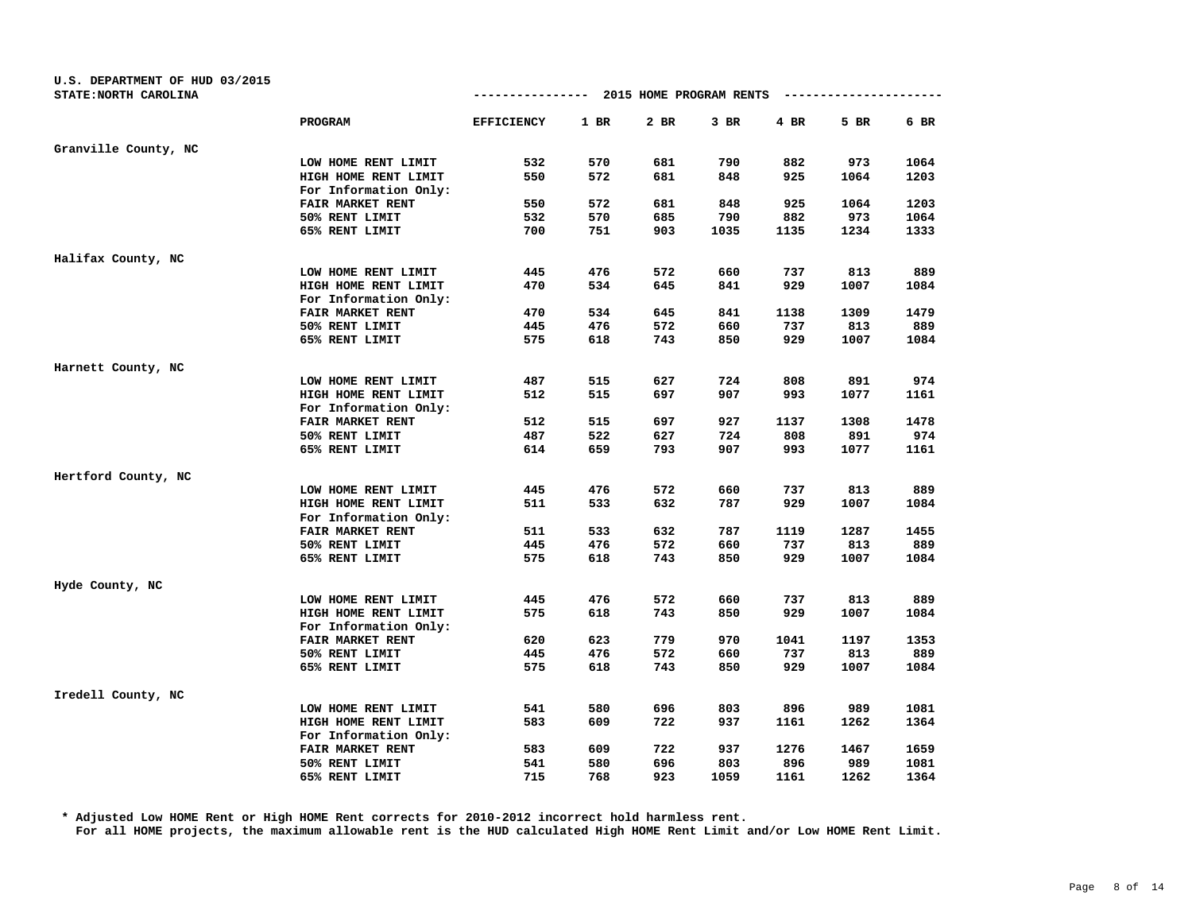| U.S. DEPARTMENT OF HUD 03/2015<br>STATE: NORTH CAROLINA |                       |                   |        | ------------- 2015 HOME PROGRAM RENTS |      |        |      |      |
|---------------------------------------------------------|-----------------------|-------------------|--------|---------------------------------------|------|--------|------|------|
|                                                         |                       |                   |        |                                       |      |        |      |      |
|                                                         | PROGRAM               | <b>EFFICIENCY</b> | $1$ BR | 2 BR                                  | 3 BR | $4$ BR | 5 BR | 6 BR |
| Granville County, NC                                    |                       |                   |        |                                       |      |        |      |      |
|                                                         | LOW HOME RENT LIMIT   | 532               | 570    | 681                                   | 790  | 882    | 973  | 1064 |
|                                                         | HIGH HOME RENT LIMIT  | 550               | 572    | 681                                   | 848  | 925    | 1064 | 1203 |
|                                                         | For Information Only: |                   |        |                                       |      |        |      |      |
|                                                         | FAIR MARKET RENT      | 550               | 572    | 681                                   | 848  | 925    | 1064 | 1203 |
|                                                         | 50% RENT LIMIT        | 532               | 570    | 685                                   | 790  | 882    | 973  | 1064 |
|                                                         | 65% RENT LIMIT        | 700               | 751    | 903                                   | 1035 | 1135   | 1234 | 1333 |
| Halifax County, NC                                      |                       |                   |        |                                       |      |        |      |      |
|                                                         | LOW HOME RENT LIMIT   | 445               | 476    | 572                                   | 660  | 737    | 813  | 889  |
|                                                         | HIGH HOME RENT LIMIT  | 470               | 534    | 645                                   | 841  | 929    | 1007 | 1084 |
|                                                         | For Information Only: |                   |        |                                       |      |        |      |      |
|                                                         | FAIR MARKET RENT      | 470               | 534    | 645                                   | 841  | 1138   | 1309 | 1479 |
|                                                         | 50% RENT LIMIT        | 445               | 476    | 572                                   | 660  | 737    | 813  | 889  |
|                                                         | 65% RENT LIMIT        | 575               | 618    | 743                                   | 850  | 929    | 1007 | 1084 |
| Harnett County, NC                                      |                       |                   |        |                                       |      |        |      |      |
|                                                         | LOW HOME RENT LIMIT   | 487               | 515    | 627                                   | 724  | 808    | 891  | 974  |
|                                                         | HIGH HOME RENT LIMIT  | 512               | 515    | 697                                   | 907  | 993    | 1077 | 1161 |
|                                                         | For Information Only: |                   |        |                                       |      |        |      |      |
|                                                         | FAIR MARKET RENT      | 512               | 515    | 697                                   | 927  | 1137   | 1308 | 1478 |
|                                                         | 50% RENT LIMIT        | 487               | 522    | 627                                   | 724  | 808    | 891  | 974  |
|                                                         | 65% RENT LIMIT        | 614               | 659    | 793                                   | 907  | 993    | 1077 | 1161 |
| Hertford County, NC                                     |                       |                   |        |                                       |      |        |      |      |
|                                                         | LOW HOME RENT LIMIT   | 445               | 476    | 572                                   | 660  | 737    | 813  | 889  |
|                                                         | HIGH HOME RENT LIMIT  | 511               | 533    | 632                                   | 787  | 929    | 1007 | 1084 |
|                                                         | For Information Only: |                   |        |                                       |      |        |      |      |
|                                                         | FAIR MARKET RENT      | 511               | 533    | 632                                   | 787  | 1119   | 1287 | 1455 |
|                                                         | 50% RENT LIMIT        | 445               | 476    | 572                                   | 660  | 737    | 813  | 889  |
|                                                         | 65% RENT LIMIT        | 575               | 618    | 743                                   | 850  | 929    | 1007 | 1084 |
| Hyde County, NC                                         |                       |                   |        |                                       |      |        |      |      |
|                                                         | LOW HOME RENT LIMIT   | 445               | 476    | 572                                   | 660  | 737    | 813  | 889  |
|                                                         | HIGH HOME RENT LIMIT  | 575               | 618    | 743                                   | 850  | 929    | 1007 | 1084 |
|                                                         | For Information Only: |                   |        |                                       |      |        |      |      |
|                                                         | FAIR MARKET RENT      | 620               | 623    | 779                                   | 970  | 1041   | 1197 | 1353 |
|                                                         | 50% RENT LIMIT        | 445               | 476    | 572                                   | 660  | 737    | 813  | 889  |
|                                                         | 65% RENT LIMIT        | 575               | 618    | 743                                   | 850  | 929    | 1007 | 1084 |
| Iredell County, NC                                      |                       |                   |        |                                       |      |        |      |      |
|                                                         | LOW HOME RENT LIMIT   | 541               | 580    | 696                                   | 803  | 896    | 989  | 1081 |
|                                                         | HIGH HOME RENT LIMIT  | 583               | 609    | 722                                   | 937  | 1161   | 1262 | 1364 |
|                                                         | For Information Only: |                   |        |                                       |      |        |      |      |
|                                                         | FAIR MARKET RENT      | 583               | 609    | 722                                   | 937  | 1276   | 1467 | 1659 |
|                                                         | 50% RENT LIMIT        | 541               | 580    | 696                                   | 803  | 896    | 989  | 1081 |
|                                                         | 65% RENT LIMIT        | 715               | 768    | 923                                   | 1059 | 1161   | 1262 | 1364 |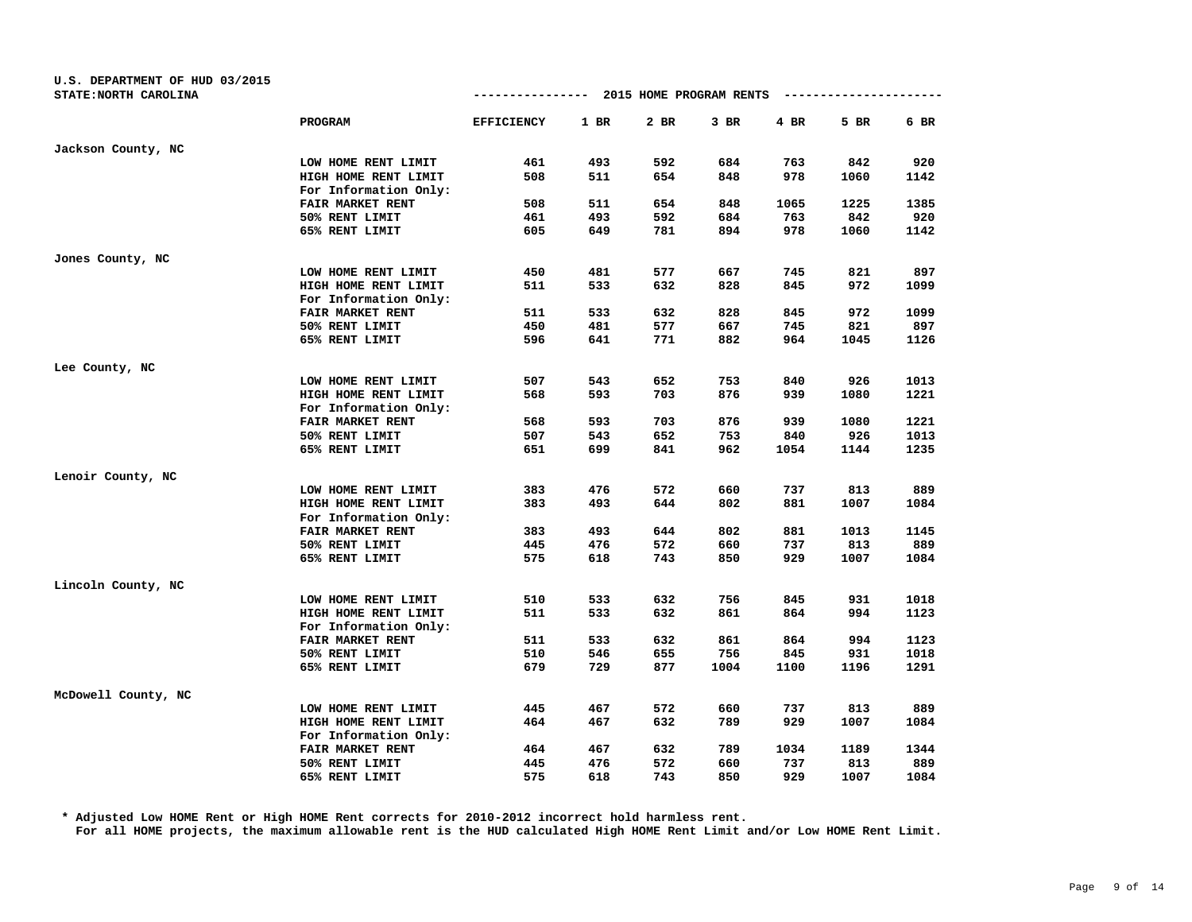| U.S. DEPARTMENT OF HUD 03/2015<br>STATE: NORTH CAROLINA |                                               |                   |        | ------------- 2015 HOME PROGRAM RENTS |        |      |      |      |
|---------------------------------------------------------|-----------------------------------------------|-------------------|--------|---------------------------------------|--------|------|------|------|
|                                                         | <b>PROGRAM</b>                                | <b>EFFICIENCY</b> | $1$ BR | 2 BR                                  | $3$ BR | 4 BR | 5 BR | 6 BR |
| Jackson County, NC                                      |                                               |                   |        |                                       |        |      |      |      |
|                                                         | LOW HOME RENT LIMIT                           | 461               | 493    | 592                                   | 684    | 763  | 842  | 920  |
|                                                         | HIGH HOME RENT LIMIT                          | 508               | 511    | 654                                   | 848    | 978  | 1060 | 1142 |
|                                                         | For Information Only:                         |                   |        |                                       |        |      |      |      |
|                                                         | FAIR MARKET RENT                              | 508               | 511    | 654                                   | 848    | 1065 | 1225 | 1385 |
|                                                         | 50% RENT LIMIT                                | 461               | 493    | 592                                   | 684    | 763  | 842  | 920  |
|                                                         | 65% RENT LIMIT                                | 605               | 649    | 781                                   | 894    | 978  | 1060 | 1142 |
| Jones County, NC                                        |                                               |                   |        |                                       |        |      |      |      |
|                                                         | LOW HOME RENT LIMIT                           | 450               | 481    | 577                                   | 667    | 745  | 821  | 897  |
|                                                         | HIGH HOME RENT LIMIT                          | 511               | 533    | 632                                   | 828    | 845  | 972  | 1099 |
|                                                         | For Information Only:                         |                   |        |                                       |        |      |      |      |
|                                                         | FAIR MARKET RENT                              | 511               | 533    | 632                                   | 828    | 845  | 972  | 1099 |
|                                                         | 50% RENT LIMIT                                | 450               | 481    | 577                                   | 667    | 745  | 821  | 897  |
|                                                         | 65% RENT LIMIT                                | 596               | 641    | 771                                   | 882    | 964  | 1045 | 1126 |
| Lee County, NC                                          |                                               |                   |        |                                       |        |      |      |      |
|                                                         | LOW HOME RENT LIMIT                           | 507               | 543    | 652                                   | 753    | 840  | 926  | 1013 |
|                                                         | HIGH HOME RENT LIMIT                          | 568               | 593    | 703                                   | 876    | 939  | 1080 | 1221 |
|                                                         | For Information Only:                         |                   |        |                                       |        |      |      |      |
|                                                         | FAIR MARKET RENT                              | 568               | 593    | 703                                   | 876    | 939  | 1080 | 1221 |
|                                                         | 50% RENT LIMIT                                | 507               | 543    | 652                                   | 753    | 840  | 926  | 1013 |
|                                                         | 65% RENT LIMIT                                | 651               | 699    | 841                                   | 962    | 1054 | 1144 | 1235 |
| Lenoir County, NC                                       |                                               |                   |        |                                       |        |      |      |      |
|                                                         | LOW HOME RENT LIMIT                           | 383               | 476    | 572                                   | 660    | 737  | 813  | 889  |
|                                                         | HIGH HOME RENT LIMIT<br>For Information Only: | 383               | 493    | 644                                   | 802    | 881  | 1007 | 1084 |
|                                                         | FAIR MARKET RENT                              | 383               | 493    | 644                                   | 802    | 881  | 1013 | 1145 |
|                                                         | 50% RENT LIMIT                                | 445               | 476    | 572                                   | 660    | 737  | 813  | 889  |
|                                                         | 65% RENT LIMIT                                | 575               | 618    | 743                                   | 850    | 929  | 1007 | 1084 |
| Lincoln County, NC                                      |                                               |                   |        |                                       |        |      |      |      |
|                                                         | LOW HOME RENT LIMIT                           | 510               | 533    | 632                                   | 756    | 845  | 931  | 1018 |
|                                                         | HIGH HOME RENT LIMIT                          | 511               | 533    | 632                                   | 861    | 864  | 994  | 1123 |
|                                                         | For Information Only:                         |                   |        |                                       |        |      |      |      |
|                                                         | FAIR MARKET RENT                              | 511               | 533    | 632                                   | 861    | 864  | 994  | 1123 |
|                                                         | 50% RENT LIMIT                                | 510               | 546    | 655                                   | 756    | 845  | 931  | 1018 |
|                                                         | 65% RENT LIMIT                                | 679               | 729    | 877                                   | 1004   | 1100 | 1196 | 1291 |
| McDowell County, NC                                     |                                               |                   |        |                                       |        |      |      |      |
|                                                         | LOW HOME RENT LIMIT                           | 445               | 467    | 572                                   | 660    | 737  | 813  | 889  |
|                                                         | HIGH HOME RENT LIMIT                          | 464               | 467    | 632                                   | 789    | 929  | 1007 | 1084 |
|                                                         | For Information Only:                         |                   |        |                                       |        |      |      |      |
|                                                         | FAIR MARKET RENT                              | 464               | 467    | 632                                   | 789    | 1034 | 1189 | 1344 |
|                                                         | 50% RENT LIMIT                                | 445               | 476    | 572                                   | 660    | 737  | 813  | 889  |
|                                                         | 65% RENT LIMIT                                | 575               | 618    | 743                                   | 850    | 929  | 1007 | 1084 |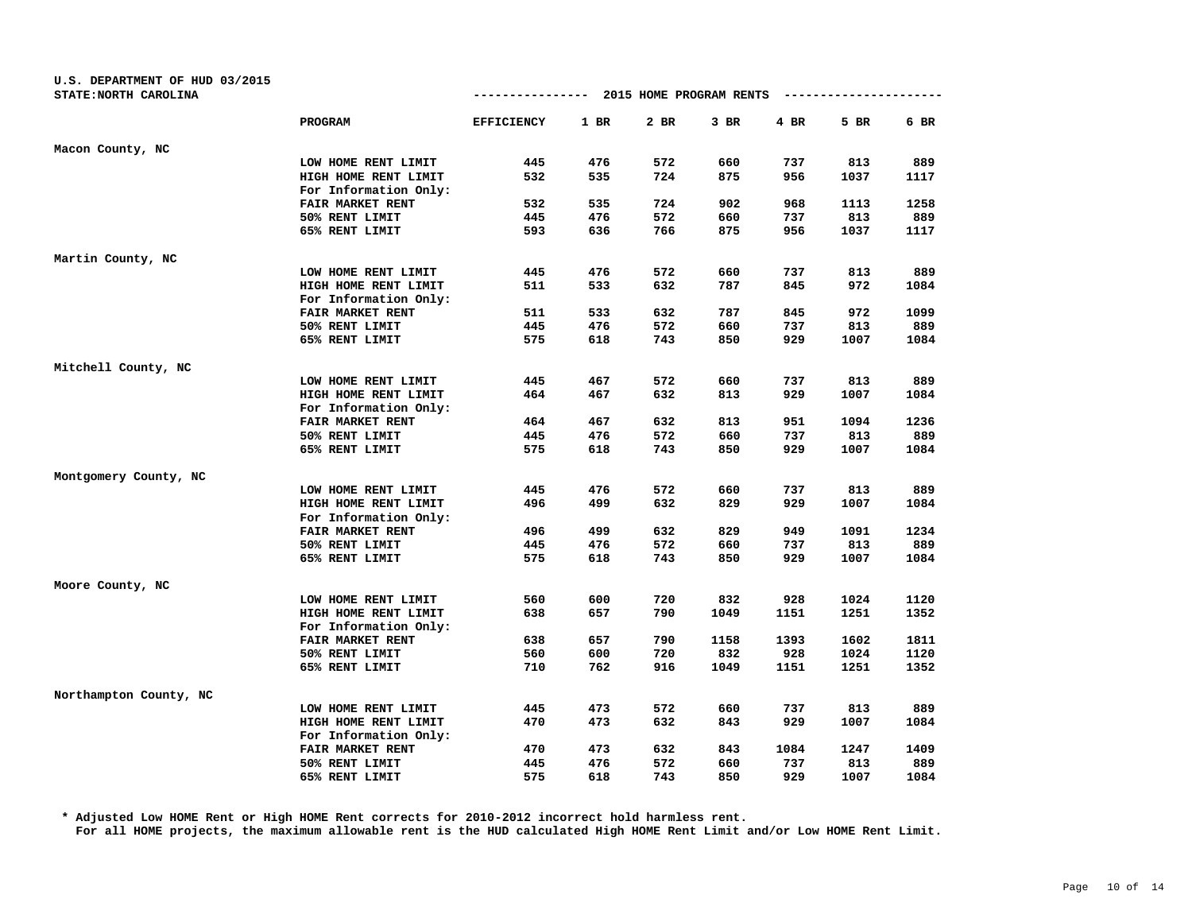| U.S. DEPARTMENT OF HUD 03/2015 |                       |                   |        |                         |        |      |      |      |
|--------------------------------|-----------------------|-------------------|--------|-------------------------|--------|------|------|------|
| STATE: NORTH CAROLINA          |                       | -------------     |        | 2015 HOME PROGRAM RENTS |        |      |      |      |
|                                | PROGRAM               | <b>EFFICIENCY</b> | $1$ BR | $2$ BR                  | $3$ BR | 4 BR | 5 BR | 6 BR |
| Macon County, NC               |                       |                   |        |                         |        |      |      |      |
|                                | LOW HOME RENT LIMIT   | 445               | 476    | 572                     | 660    | 737  | 813  | 889  |
|                                | HIGH HOME RENT LIMIT  | 532               | 535    | 724                     | 875    | 956  | 1037 | 1117 |
|                                | For Information Only: |                   |        |                         |        |      |      |      |
|                                | FAIR MARKET RENT      | 532               | 535    | 724                     | 902    | 968  | 1113 | 1258 |
|                                | 50% RENT LIMIT        | 445               | 476    | 572                     | 660    | 737  | 813  | 889  |
|                                | 65% RENT LIMIT        | 593               | 636    | 766                     | 875    | 956  | 1037 | 1117 |
| Martin County, NC              |                       |                   |        |                         |        |      |      |      |
|                                | LOW HOME RENT LIMIT   | 445               | 476    | 572                     | 660    | 737  | 813  | 889  |
|                                | HIGH HOME RENT LIMIT  | 511               | 533    | 632                     | 787    | 845  | 972  | 1084 |
|                                | For Information Only: |                   |        |                         |        |      |      |      |
|                                | FAIR MARKET RENT      | 511               | 533    | 632                     | 787    | 845  | 972  | 1099 |
|                                | 50% RENT LIMIT        | 445               | 476    | 572                     | 660    | 737  | 813  | 889  |
|                                | 65% RENT LIMIT        | 575               | 618    | 743                     | 850    | 929  | 1007 | 1084 |
| Mitchell County, NC            |                       |                   |        |                         |        |      |      |      |
|                                | LOW HOME RENT LIMIT   | 445               | 467    | 572                     | 660    | 737  | 813  | 889  |
|                                | HIGH HOME RENT LIMIT  | 464               | 467    | 632                     | 813    | 929  | 1007 | 1084 |
|                                | For Information Only: |                   |        |                         |        |      |      |      |
|                                | FAIR MARKET RENT      | 464               | 467    | 632                     | 813    | 951  | 1094 | 1236 |
|                                | 50% RENT LIMIT        | 445               | 476    | 572                     | 660    | 737  | 813  | 889  |
|                                | 65% RENT LIMIT        | 575               | 618    | 743                     | 850    | 929  | 1007 | 1084 |
| Montgomery County, NC          |                       |                   |        |                         |        |      |      |      |
|                                | LOW HOME RENT LIMIT   | 445               | 476    | 572                     | 660    | 737  | 813  | 889  |
|                                | HIGH HOME RENT LIMIT  | 496               | 499    | 632                     | 829    | 929  | 1007 | 1084 |
|                                | For Information Only: |                   |        |                         |        |      |      |      |
|                                | FAIR MARKET RENT      | 496               | 499    | 632                     | 829    | 949  | 1091 | 1234 |
|                                | 50% RENT LIMIT        | 445               | 476    | 572                     | 660    | 737  | 813  | 889  |
|                                | 65% RENT LIMIT        | 575               | 618    | 743                     | 850    | 929  | 1007 | 1084 |
| Moore County, NC               |                       |                   |        |                         |        |      |      |      |
|                                | LOW HOME RENT LIMIT   | 560               | 600    | 720                     | 832    | 928  | 1024 | 1120 |
|                                | HIGH HOME RENT LIMIT  | 638               | 657    | 790                     | 1049   | 1151 | 1251 | 1352 |
|                                | For Information Only: |                   |        |                         |        |      |      |      |
|                                | FAIR MARKET RENT      | 638               | 657    | 790                     | 1158   | 1393 | 1602 | 1811 |
|                                | 50% RENT LIMIT        | 560               | 600    | 720                     | 832    | 928  | 1024 | 1120 |
|                                | 65% RENT LIMIT        | 710               | 762    | 916                     | 1049   | 1151 | 1251 | 1352 |
| Northampton County, NC         |                       |                   |        |                         |        |      |      |      |
|                                | LOW HOME RENT LIMIT   | 445               | 473    | 572                     | 660    | 737  | 813  | 889  |
|                                | HIGH HOME RENT LIMIT  | 470               | 473    | 632                     | 843    | 929  | 1007 | 1084 |
|                                | For Information Only: |                   |        |                         |        |      |      |      |
|                                | FAIR MARKET RENT      | 470               | 473    | 632                     | 843    | 1084 | 1247 | 1409 |
|                                | 50% RENT LIMIT        | 445               | 476    | 572                     | 660    | 737  | 813  | 889  |
|                                | 65% RENT LIMIT        | 575               | 618    | 743                     | 850    | 929  | 1007 | 1084 |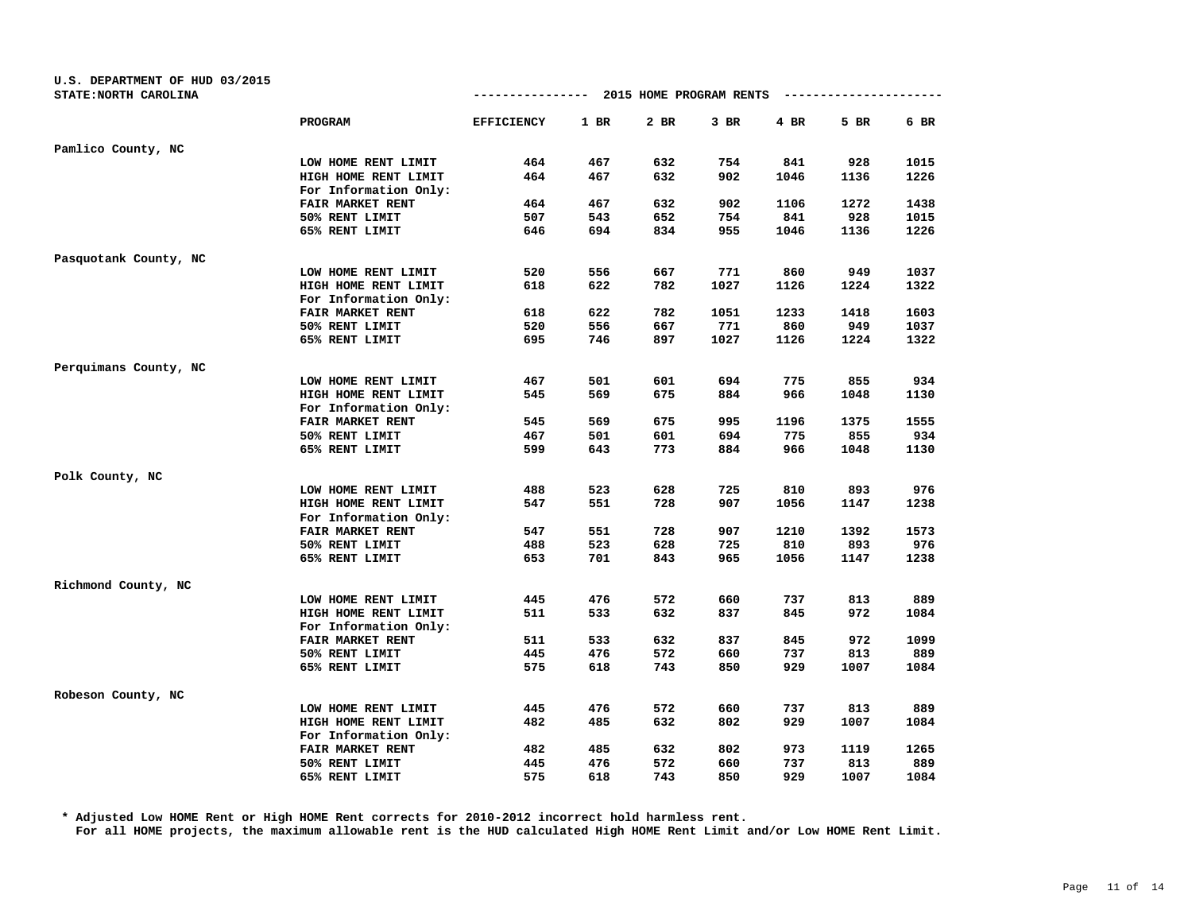| U.S. DEPARTMENT OF HUD 03/2015<br>STATE: NORTH CAROLINA |                                               | -------------     |        | 2015 HOME PROGRAM RENTS |      |      |      |      |
|---------------------------------------------------------|-----------------------------------------------|-------------------|--------|-------------------------|------|------|------|------|
|                                                         | PROGRAM                                       | <b>EFFICIENCY</b> | $1$ BR | 2 BR                    | 3 BR | 4 BR | 5 BR | 6 BR |
| Pamlico County, NC                                      |                                               |                   |        |                         |      |      |      |      |
|                                                         | LOW HOME RENT LIMIT                           | 464               | 467    | 632                     | 754  | 841  | 928  | 1015 |
|                                                         | HIGH HOME RENT LIMIT                          | 464               | 467    | 632                     | 902  | 1046 | 1136 | 1226 |
|                                                         | For Information Only:                         |                   |        |                         |      |      |      |      |
|                                                         | FAIR MARKET RENT                              | 464               | 467    | 632                     | 902  | 1106 | 1272 | 1438 |
|                                                         | 50% RENT LIMIT                                | 507               | 543    | 652                     | 754  | 841  | 928  | 1015 |
|                                                         | 65% RENT LIMIT                                | 646               | 694    | 834                     | 955  | 1046 | 1136 | 1226 |
| Pasquotank County, NC                                   |                                               |                   |        |                         |      |      |      |      |
|                                                         | LOW HOME RENT LIMIT                           | 520               | 556    | 667                     | 771  | 860  | 949  | 1037 |
|                                                         | HIGH HOME RENT LIMIT                          | 618               | 622    | 782                     | 1027 | 1126 | 1224 | 1322 |
|                                                         | For Information Only:                         |                   |        |                         |      |      |      |      |
|                                                         | FAIR MARKET RENT                              | 618               | 622    | 782                     | 1051 | 1233 | 1418 | 1603 |
|                                                         | 50% RENT LIMIT                                | 520               | 556    | 667                     | 771  | 860  | 949  | 1037 |
|                                                         | 65% RENT LIMIT                                | 695               | 746    | 897                     | 1027 | 1126 | 1224 | 1322 |
| Perquimans County, NC                                   |                                               |                   |        |                         |      |      |      |      |
|                                                         | LOW HOME RENT LIMIT                           | 467               | 501    | 601                     | 694  | 775  | 855  | 934  |
|                                                         | HIGH HOME RENT LIMIT                          | 545               | 569    | 675                     | 884  | 966  | 1048 | 1130 |
|                                                         | For Information Only:                         |                   |        |                         |      |      |      |      |
|                                                         | FAIR MARKET RENT                              | 545               | 569    | 675                     | 995  | 1196 | 1375 | 1555 |
|                                                         | 50% RENT LIMIT                                | 467               | 501    | 601                     | 694  | 775  | 855  | 934  |
|                                                         | 65% RENT LIMIT                                | 599               | 643    | 773                     | 884  | 966  | 1048 | 1130 |
| Polk County, NC                                         |                                               |                   |        |                         |      |      |      |      |
|                                                         | LOW HOME RENT LIMIT                           | 488               | 523    | 628                     | 725  | 810  | 893  | 976  |
|                                                         | HIGH HOME RENT LIMIT<br>For Information Only: | 547               | 551    | 728                     | 907  | 1056 | 1147 | 1238 |
|                                                         | FAIR MARKET RENT                              | 547               | 551    | 728                     | 907  | 1210 | 1392 | 1573 |
|                                                         | 50% RENT LIMIT                                | 488               | 523    | 628                     | 725  | 810  | 893  | 976  |
|                                                         | 65% RENT LIMIT                                | 653               | 701    | 843                     | 965  | 1056 | 1147 | 1238 |
| Richmond County, NC                                     |                                               |                   |        |                         |      |      |      |      |
|                                                         | LOW HOME RENT LIMIT                           | 445               | 476    | 572                     | 660  | 737  | 813  | 889  |
|                                                         | HIGH HOME RENT LIMIT                          | 511               | 533    | 632                     | 837  | 845  | 972  | 1084 |
|                                                         | For Information Only:                         |                   |        |                         |      |      |      |      |
|                                                         | FAIR MARKET RENT                              | 511               | 533    | 632                     | 837  | 845  | 972  | 1099 |
|                                                         | 50% RENT LIMIT                                | 445               | 476    | 572                     | 660  | 737  | 813  | 889  |
|                                                         | 65% RENT LIMIT                                | 575               | 618    | 743                     | 850  | 929  | 1007 | 1084 |
| Robeson County, NC                                      |                                               |                   |        |                         |      |      |      |      |
|                                                         | LOW HOME RENT LIMIT                           | 445               | 476    | 572                     | 660  | 737  | 813  | 889  |
|                                                         | HIGH HOME RENT LIMIT                          | 482               | 485    | 632                     | 802  | 929  | 1007 | 1084 |
|                                                         | For Information Only:                         |                   |        |                         |      |      |      |      |
|                                                         | FAIR MARKET RENT                              | 482               | 485    | 632                     | 802  | 973  | 1119 | 1265 |
|                                                         | 50% RENT LIMIT                                | 445               | 476    | 572                     | 660  | 737  | 813  | 889  |
|                                                         | 65% RENT LIMIT                                | 575               | 618    | 743                     | 850  | 929  | 1007 | 1084 |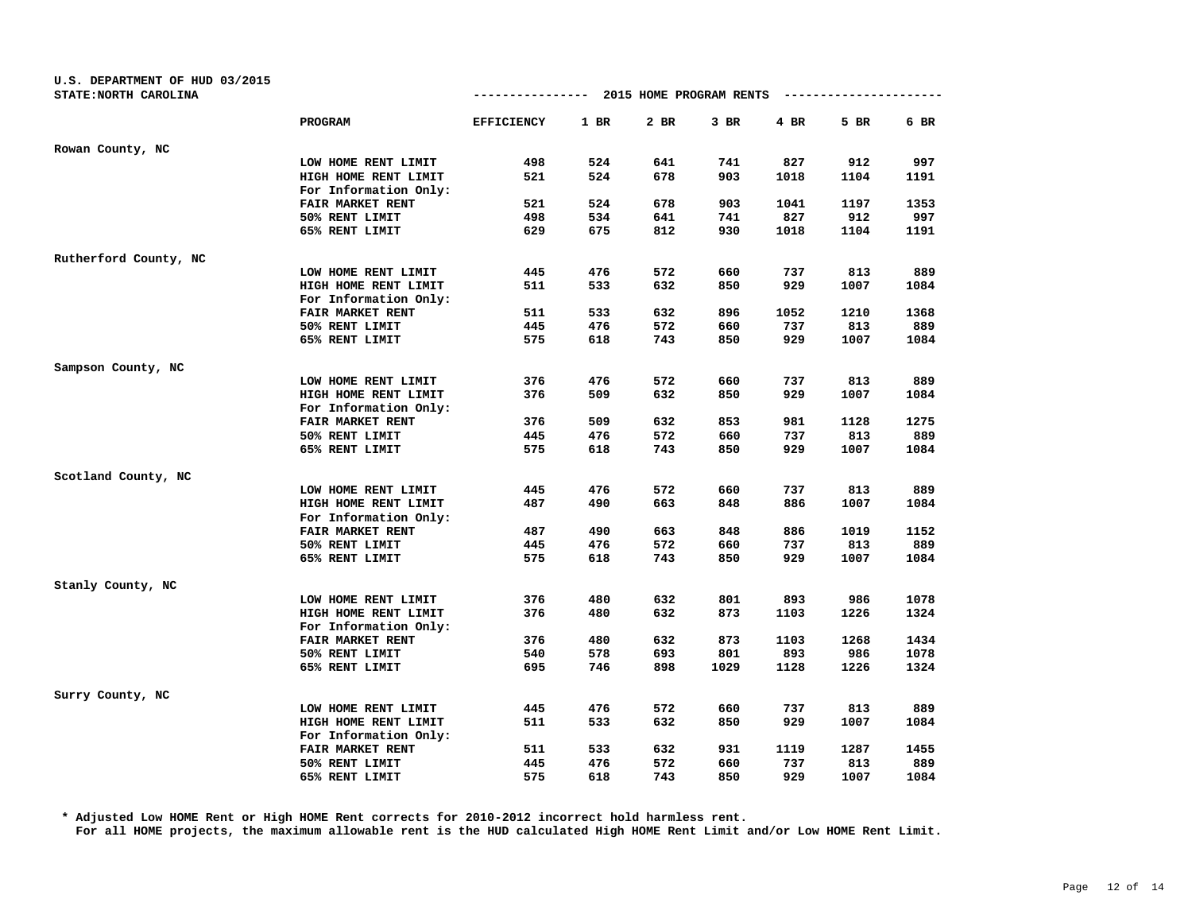| U.S. DEPARTMENT OF HUD 03/2015 |                       |                   |      |                                      |      |        |                        |      |
|--------------------------------|-----------------------|-------------------|------|--------------------------------------|------|--------|------------------------|------|
| STATE: NORTH CAROLINA          |                       |                   |      | ------------ 2015 HOME PROGRAM RENTS |      |        | ---------------------- |      |
|                                | PROGRAM               | <b>EFFICIENCY</b> | 1 BR | 2 BR                                 | 3 BR | $4$ BR | 5 BR                   | 6 BR |
| Rowan County, NC               |                       |                   |      |                                      |      |        |                        |      |
|                                | LOW HOME RENT LIMIT   | 498               | 524  | 641                                  | 741  | 827    | 912                    | 997  |
|                                | HIGH HOME RENT LIMIT  | 521               | 524  | 678                                  | 903  | 1018   | 1104                   | 1191 |
|                                | For Information Only: |                   |      |                                      |      |        |                        |      |
|                                | FAIR MARKET RENT      | 521               | 524  | 678                                  | 903  | 1041   | 1197                   | 1353 |
|                                | 50% RENT LIMIT        | 498               | 534  | 641                                  | 741  | 827    | 912                    | 997  |
|                                | 65% RENT LIMIT        | 629               | 675  | 812                                  | 930  | 1018   | 1104                   | 1191 |
| Rutherford County, NC          |                       |                   |      |                                      |      |        |                        |      |
|                                | LOW HOME RENT LIMIT   | 445               | 476  | 572                                  | 660  | 737    | 813                    | 889  |
|                                | HIGH HOME RENT LIMIT  | 511               | 533  | 632                                  | 850  | 929    | 1007                   | 1084 |
|                                | For Information Only: |                   |      |                                      |      |        |                        |      |
|                                | FAIR MARKET RENT      | 511               | 533  | 632                                  | 896  | 1052   | 1210                   | 1368 |
|                                | 50% RENT LIMIT        | 445               | 476  | 572                                  | 660  | 737    | 813                    | 889  |
|                                | 65% RENT LIMIT        | 575               | 618  | 743                                  | 850  | 929    | 1007                   | 1084 |
| Sampson County, NC             |                       |                   |      |                                      |      |        |                        |      |
|                                | LOW HOME RENT LIMIT   | 376               | 476  | 572                                  | 660  | 737    | 813                    | 889  |
|                                | HIGH HOME RENT LIMIT  | 376               | 509  | 632                                  | 850  | 929    | 1007                   | 1084 |
|                                | For Information Only: |                   |      |                                      |      |        |                        |      |
|                                | FAIR MARKET RENT      | 376               | 509  | 632                                  | 853  | 981    | 1128                   | 1275 |
|                                | 50% RENT LIMIT        | 445               | 476  | 572                                  | 660  | 737    | 813                    | 889  |
|                                | 65% RENT LIMIT        | 575               | 618  | 743                                  | 850  | 929    | 1007                   | 1084 |
| Scotland County, NC            |                       |                   |      |                                      |      |        |                        |      |
|                                | LOW HOME RENT LIMIT   | 445               | 476  | 572                                  | 660  | 737    | 813                    | 889  |
|                                | HIGH HOME RENT LIMIT  | 487               | 490  | 663                                  | 848  | 886    | 1007                   | 1084 |
|                                | For Information Only: |                   |      |                                      |      |        |                        |      |
|                                | FAIR MARKET RENT      | 487               | 490  | 663                                  | 848  | 886    | 1019                   | 1152 |
|                                | 50% RENT LIMIT        | 445               | 476  | 572                                  | 660  | 737    | 813                    | 889  |
|                                | 65% RENT LIMIT        | 575               | 618  | 743                                  | 850  | 929    | 1007                   | 1084 |
| Stanly County, NC              |                       |                   |      |                                      |      |        |                        |      |
|                                | LOW HOME RENT LIMIT   | 376               | 480  | 632                                  | 801  | 893    | 986                    | 1078 |
|                                | HIGH HOME RENT LIMIT  | 376               | 480  | 632                                  | 873  | 1103   | 1226                   | 1324 |
|                                | For Information Only: |                   |      |                                      |      |        |                        |      |
|                                | FAIR MARKET RENT      | 376               | 480  | 632                                  | 873  | 1103   | 1268                   | 1434 |
|                                | 50% RENT LIMIT        | 540               | 578  | 693                                  | 801  | 893    | 986                    | 1078 |
|                                | 65% RENT LIMIT        | 695               | 746  | 898                                  | 1029 | 1128   | 1226                   | 1324 |
| Surry County, NC               |                       |                   |      |                                      |      |        |                        |      |
|                                | LOW HOME RENT LIMIT   | 445               | 476  | 572                                  | 660  | 737    | 813                    | 889  |
|                                | HIGH HOME RENT LIMIT  | 511               | 533  | 632                                  | 850  | 929    | 1007                   | 1084 |
|                                | For Information Only: |                   |      |                                      |      |        |                        |      |
|                                | FAIR MARKET RENT      | 511               | 533  | 632                                  | 931  | 1119   | 1287                   | 1455 |
|                                | 50% RENT LIMIT        | 445               | 476  | 572                                  | 660  | 737    | 813                    | 889  |
|                                | 65% RENT LIMIT        | 575               | 618  | 743                                  | 850  | 929    | 1007                   | 1084 |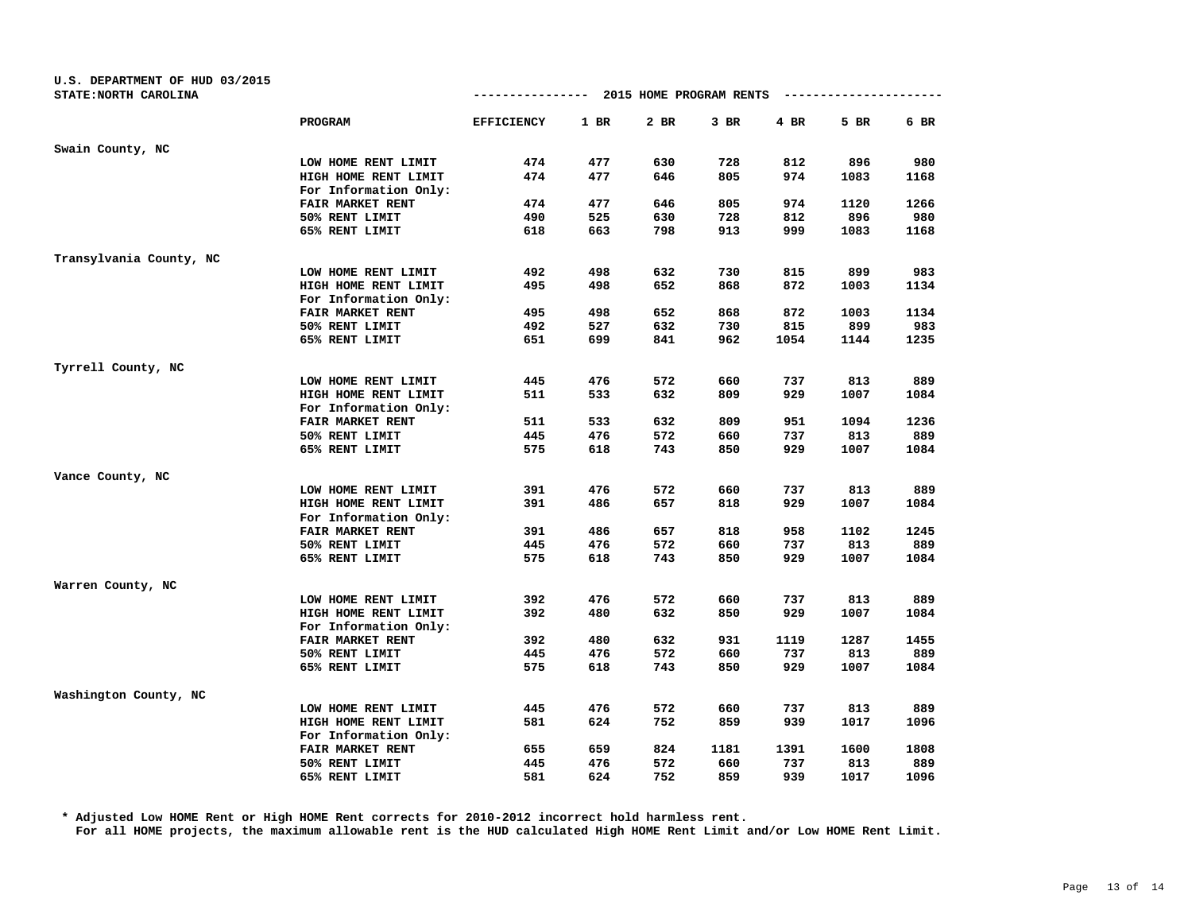| U.S. DEPARTMENT OF HUD 03/2015 |                         |                   |      |                                      |        |      |                        |      |
|--------------------------------|-------------------------|-------------------|------|--------------------------------------|--------|------|------------------------|------|
| STATE: NORTH CAROLINA          |                         |                   |      | ------------ 2015 HOME PROGRAM RENTS |        |      | ---------------------- |      |
|                                | PROGRAM                 | <b>EFFICIENCY</b> | 1 BR | 2 BR                                 | $3$ BR | 4 BR | 5 BR                   | 6 BR |
| Swain County, NC               |                         |                   |      |                                      |        |      |                        |      |
|                                | LOW HOME RENT LIMIT     | 474               | 477  | 630                                  | 728    | 812  | 896                    | 980  |
|                                | HIGH HOME RENT LIMIT    | 474               | 477  | 646                                  | 805    | 974  | 1083                   | 1168 |
|                                | For Information Only:   |                   |      |                                      |        |      |                        |      |
|                                | FAIR MARKET RENT        | 474               | 477  | 646                                  | 805    | 974  | 1120                   | 1266 |
|                                | 50% RENT LIMIT          | 490               | 525  | 630                                  | 728    | 812  | 896                    | 980  |
|                                | 65% RENT LIMIT          | 618               | 663  | 798                                  | 913    | 999  | 1083                   | 1168 |
| Transylvania County, NC        |                         |                   |      |                                      |        |      |                        |      |
|                                | LOW HOME RENT LIMIT     | 492               | 498  | 632                                  | 730    | 815  | 899                    | 983  |
|                                | HIGH HOME RENT LIMIT    | 495               | 498  | 652                                  | 868    | 872  | 1003                   | 1134 |
|                                | For Information Only:   |                   |      |                                      |        |      |                        |      |
|                                | FAIR MARKET RENT        | 495               | 498  | 652                                  | 868    | 872  | 1003                   | 1134 |
|                                | 50% RENT LIMIT          | 492               | 527  | 632                                  | 730    | 815  | 899                    | 983  |
|                                | 65% RENT LIMIT          | 651               | 699  | 841                                  | 962    | 1054 | 1144                   | 1235 |
| Tyrrell County, NC             |                         |                   |      |                                      |        |      |                        |      |
|                                | LOW HOME RENT LIMIT     | 445               | 476  | 572                                  | 660    | 737  | 813                    | 889  |
|                                | HIGH HOME RENT LIMIT    | 511               | 533  | 632                                  | 809    | 929  | 1007                   | 1084 |
|                                | For Information Only:   |                   |      |                                      |        |      |                        |      |
|                                | FAIR MARKET RENT        | 511               | 533  | 632                                  | 809    | 951  | 1094                   | 1236 |
|                                | 50% RENT LIMIT          | 445               | 476  | 572                                  | 660    | 737  | 813                    | 889  |
|                                | 65% RENT LIMIT          | 575               | 618  | 743                                  | 850    | 929  | 1007                   | 1084 |
| Vance County, NC               |                         |                   |      |                                      |        |      |                        |      |
|                                | LOW HOME RENT LIMIT     | 391               | 476  | 572                                  | 660    | 737  | 813                    | 889  |
|                                | HIGH HOME RENT LIMIT    | 391               | 486  | 657                                  | 818    | 929  | 1007                   | 1084 |
|                                | For Information Only:   |                   |      |                                      |        |      |                        |      |
|                                | FAIR MARKET RENT        | 391               | 486  | 657                                  | 818    | 958  | 1102                   | 1245 |
|                                | 50% RENT LIMIT          | 445               | 476  | 572                                  | 660    | 737  | 813                    | 889  |
|                                | 65% RENT LIMIT          | 575               | 618  | 743                                  | 850    | 929  | 1007                   | 1084 |
| Warren County, NC              |                         |                   |      |                                      |        |      |                        |      |
|                                | LOW HOME RENT LIMIT     | 392               | 476  | 572                                  | 660    | 737  | 813                    | 889  |
|                                | HIGH HOME RENT LIMIT    | 392               | 480  | 632                                  | 850    | 929  | 1007                   | 1084 |
|                                | For Information Only:   |                   |      |                                      |        |      |                        |      |
|                                | <b>FAIR MARKET RENT</b> | 392               | 480  | 632                                  | 931    | 1119 | 1287                   | 1455 |
|                                | 50% RENT LIMIT          | 445               | 476  | 572                                  | 660    | 737  | 813                    | 889  |
|                                | 65% RENT LIMIT          | 575               | 618  | 743                                  | 850    | 929  | 1007                   | 1084 |
| Washington County, NC          |                         |                   |      |                                      |        |      |                        |      |
|                                | LOW HOME RENT LIMIT     | 445               | 476  | 572                                  | 660    | 737  | 813                    | 889  |
|                                | HIGH HOME RENT LIMIT    | 581               | 624  | 752                                  | 859    | 939  | 1017                   | 1096 |
|                                | For Information Only:   |                   |      |                                      |        |      |                        |      |
|                                | FAIR MARKET RENT        | 655               | 659  | 824                                  | 1181   | 1391 | 1600                   | 1808 |
|                                | 50% RENT LIMIT          | 445               | 476  | 572                                  | 660    | 737  | 813                    | 889  |
|                                | 65% RENT LIMIT          | 581               | 624  | 752                                  | 859    | 939  | 1017                   | 1096 |